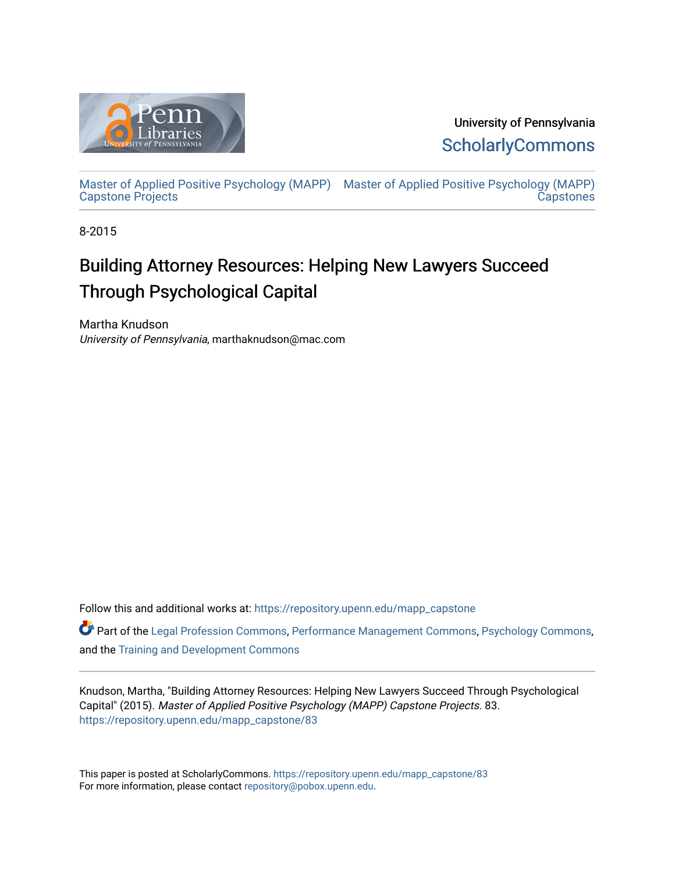

University of Pennsylvania **ScholarlyCommons** 

[Master of Applied Positive Psychology \(MAPP\)](https://repository.upenn.edu/mapp_capstone) [Master of Applied Positive Psychology \(MAPP\)](https://repository.upenn.edu/mapp_capstones)  [Capstone Projects](https://repository.upenn.edu/mapp_capstone)  **Capstones** 

8-2015

# Building Attorney Resources: Helping New Lawyers Succeed Through Psychological Capital

Martha Knudson University of Pennsylvania, marthaknudson@mac.com

Follow this and additional works at: [https://repository.upenn.edu/mapp\\_capstone](https://repository.upenn.edu/mapp_capstone?utm_source=repository.upenn.edu%2Fmapp_capstone%2F83&utm_medium=PDF&utm_campaign=PDFCoverPages) 

Part of the [Legal Profession Commons](http://network.bepress.com/hgg/discipline/1075?utm_source=repository.upenn.edu%2Fmapp_capstone%2F83&utm_medium=PDF&utm_campaign=PDFCoverPages), [Performance Management Commons,](http://network.bepress.com/hgg/discipline/1256?utm_source=repository.upenn.edu%2Fmapp_capstone%2F83&utm_medium=PDF&utm_campaign=PDFCoverPages) [Psychology Commons,](http://network.bepress.com/hgg/discipline/404?utm_source=repository.upenn.edu%2Fmapp_capstone%2F83&utm_medium=PDF&utm_campaign=PDFCoverPages) and the [Training and Development Commons](http://network.bepress.com/hgg/discipline/1257?utm_source=repository.upenn.edu%2Fmapp_capstone%2F83&utm_medium=PDF&utm_campaign=PDFCoverPages) 

Knudson, Martha, "Building Attorney Resources: Helping New Lawyers Succeed Through Psychological Capital" (2015). Master of Applied Positive Psychology (MAPP) Capstone Projects. 83. [https://repository.upenn.edu/mapp\\_capstone/83](https://repository.upenn.edu/mapp_capstone/83?utm_source=repository.upenn.edu%2Fmapp_capstone%2F83&utm_medium=PDF&utm_campaign=PDFCoverPages)

This paper is posted at ScholarlyCommons. [https://repository.upenn.edu/mapp\\_capstone/83](https://repository.upenn.edu/mapp_capstone/83)  For more information, please contact [repository@pobox.upenn.edu.](mailto:repository@pobox.upenn.edu)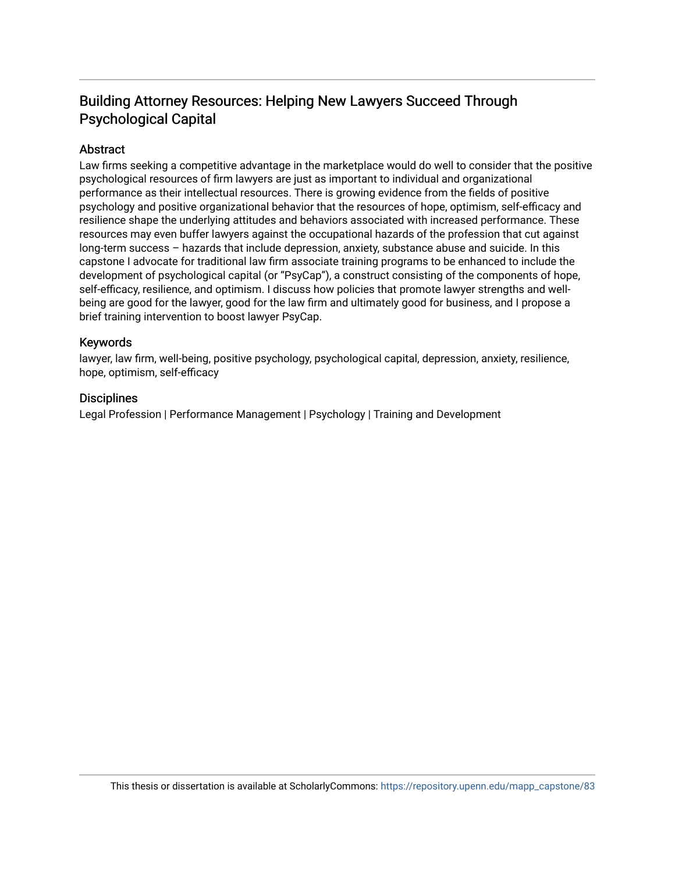## Building Attorney Resources: Helping New Lawyers Succeed Through Psychological Capital

## Abstract

Law firms seeking a competitive advantage in the marketplace would do well to consider that the positive psychological resources of firm lawyers are just as important to individual and organizational performance as their intellectual resources. There is growing evidence from the fields of positive psychology and positive organizational behavior that the resources of hope, optimism, self-efficacy and resilience shape the underlying attitudes and behaviors associated with increased performance. These resources may even buffer lawyers against the occupational hazards of the profession that cut against long-term success – hazards that include depression, anxiety, substance abuse and suicide. In this capstone I advocate for traditional law firm associate training programs to be enhanced to include the development of psychological capital (or "PsyCap"), a construct consisting of the components of hope, self-efficacy, resilience, and optimism. I discuss how policies that promote lawyer strengths and wellbeing are good for the lawyer, good for the law firm and ultimately good for business, and I propose a brief training intervention to boost lawyer PsyCap.

## Keywords

lawyer, law firm, well-being, positive psychology, psychological capital, depression, anxiety, resilience, hope, optimism, self-efficacy

## **Disciplines**

Legal Profession | Performance Management | Psychology | Training and Development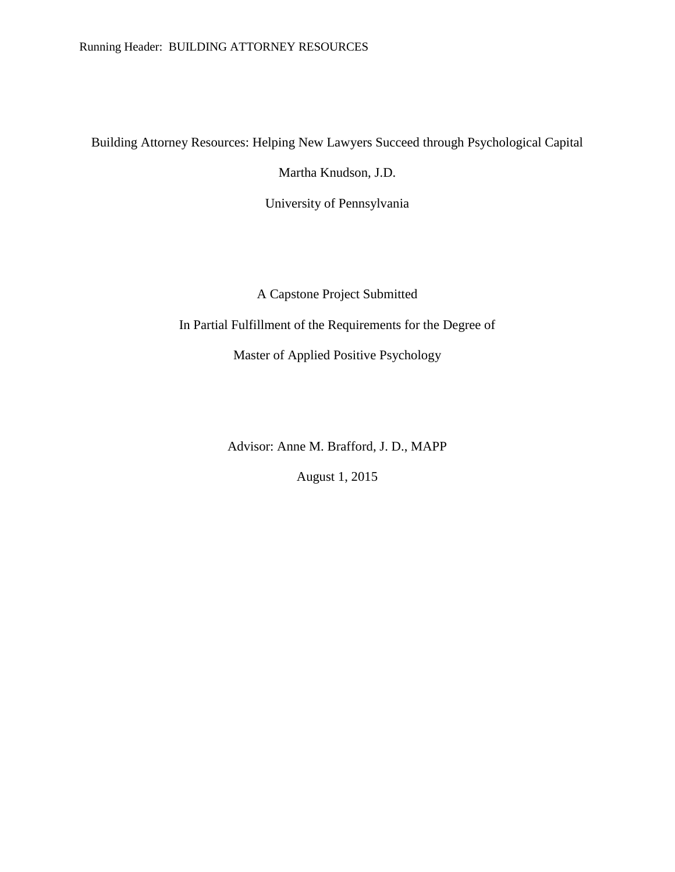Building Attorney Resources: Helping New Lawyers Succeed through Psychological Capital

Martha Knudson, J.D.

University of Pennsylvania

A Capstone Project Submitted

In Partial Fulfillment of the Requirements for the Degree of

Master of Applied Positive Psychology

Advisor: Anne M. Brafford, J. D., MAPP

August 1, 2015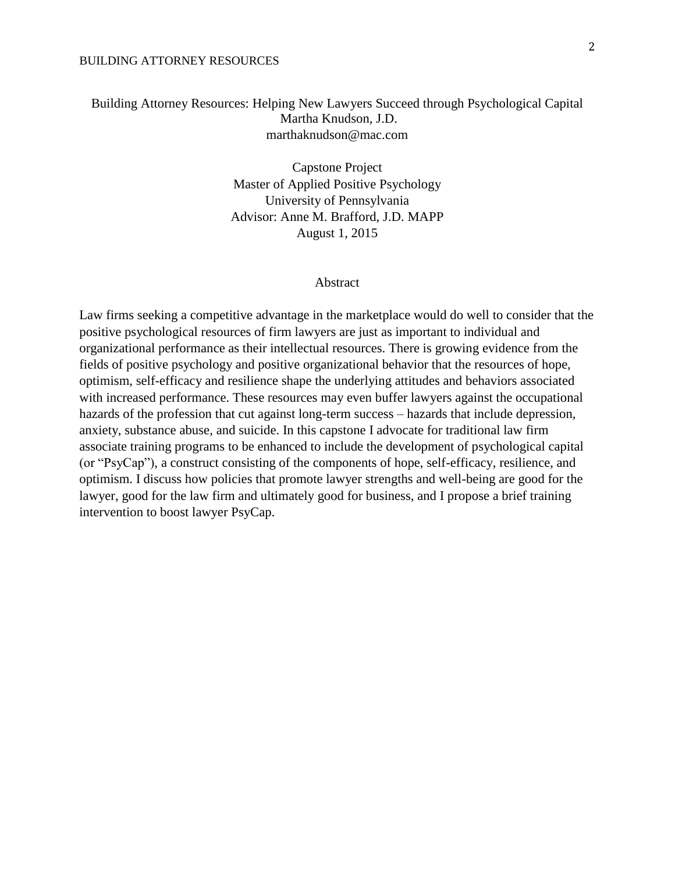## Building Attorney Resources: Helping New Lawyers Succeed through Psychological Capital Martha Knudson, J.D. marthaknudson@mac.com

Capstone Project Master of Applied Positive Psychology University of Pennsylvania Advisor: Anne M. Brafford, J.D. MAPP August 1, 2015

#### Abstract

Law firms seeking a competitive advantage in the marketplace would do well to consider that the positive psychological resources of firm lawyers are just as important to individual and organizational performance as their intellectual resources. There is growing evidence from the fields of positive psychology and positive organizational behavior that the resources of hope, optimism, self-efficacy and resilience shape the underlying attitudes and behaviors associated with increased performance. These resources may even buffer lawyers against the occupational hazards of the profession that cut against long-term success – hazards that include depression, anxiety, substance abuse, and suicide. In this capstone I advocate for traditional law firm associate training programs to be enhanced to include the development of psychological capital (or "PsyCap"), a construct consisting of the components of hope, self-efficacy, resilience, and optimism. I discuss how policies that promote lawyer strengths and well-being are good for the lawyer, good for the law firm and ultimately good for business, and I propose a brief training intervention to boost lawyer PsyCap.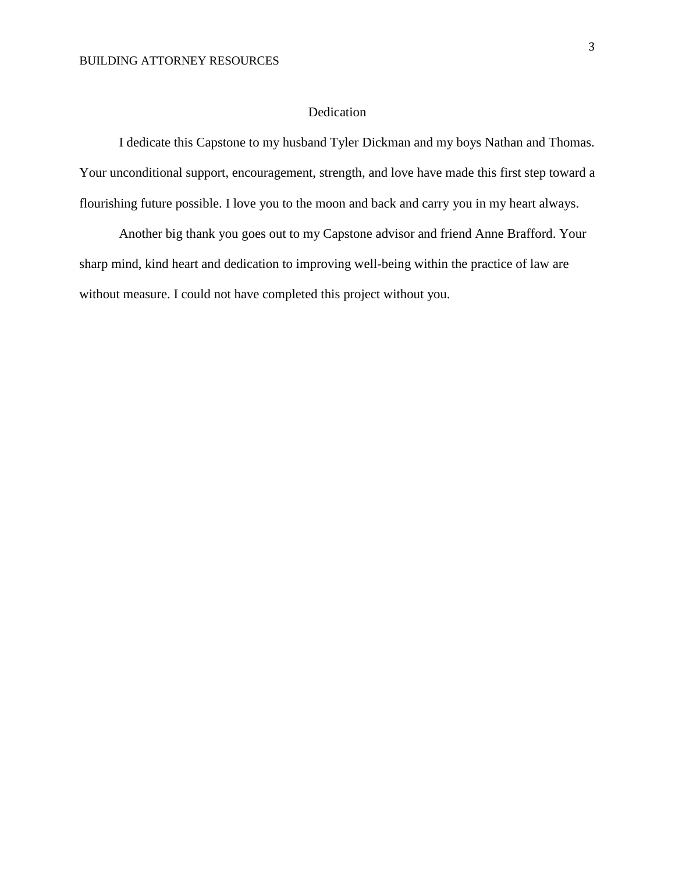## Dedication

I dedicate this Capstone to my husband Tyler Dickman and my boys Nathan and Thomas. Your unconditional support, encouragement, strength, and love have made this first step toward a flourishing future possible. I love you to the moon and back and carry you in my heart always.

Another big thank you goes out to my Capstone advisor and friend Anne Brafford. Your sharp mind, kind heart and dedication to improving well-being within the practice of law are without measure. I could not have completed this project without you.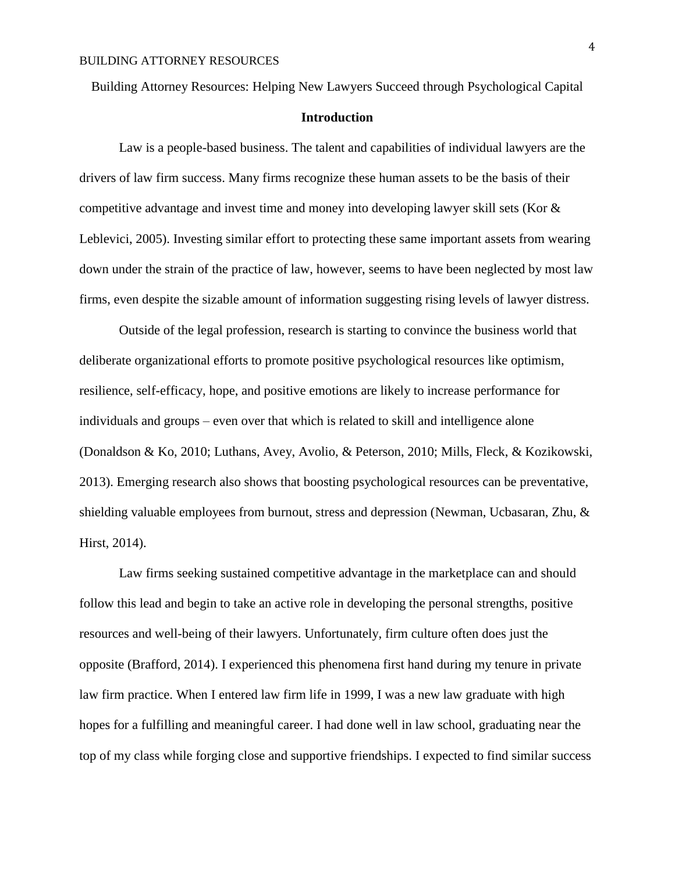Building Attorney Resources: Helping New Lawyers Succeed through Psychological Capital

## **Introduction**

Law is a people-based business. The talent and capabilities of individual lawyers are the drivers of law firm success. Many firms recognize these human assets to be the basis of their competitive advantage and invest time and money into developing lawyer skill sets (Kor & Leblevici, 2005). Investing similar effort to protecting these same important assets from wearing down under the strain of the practice of law, however, seems to have been neglected by most law firms, even despite the sizable amount of information suggesting rising levels of lawyer distress.

Outside of the legal profession, research is starting to convince the business world that deliberate organizational efforts to promote positive psychological resources like optimism, resilience, self-efficacy, hope, and positive emotions are likely to increase performance for individuals and groups – even over that which is related to skill and intelligence alone (Donaldson & Ko, 2010; Luthans, Avey, Avolio, & Peterson, 2010; Mills, Fleck, & Kozikowski, 2013). Emerging research also shows that boosting psychological resources can be preventative, shielding valuable employees from burnout, stress and depression (Newman, Ucbasaran, Zhu, & Hirst, 2014).

Law firms seeking sustained competitive advantage in the marketplace can and should follow this lead and begin to take an active role in developing the personal strengths, positive resources and well-being of their lawyers. Unfortunately, firm culture often does just the opposite (Brafford, 2014). I experienced this phenomena first hand during my tenure in private law firm practice. When I entered law firm life in 1999, I was a new law graduate with high hopes for a fulfilling and meaningful career. I had done well in law school, graduating near the top of my class while forging close and supportive friendships. I expected to find similar success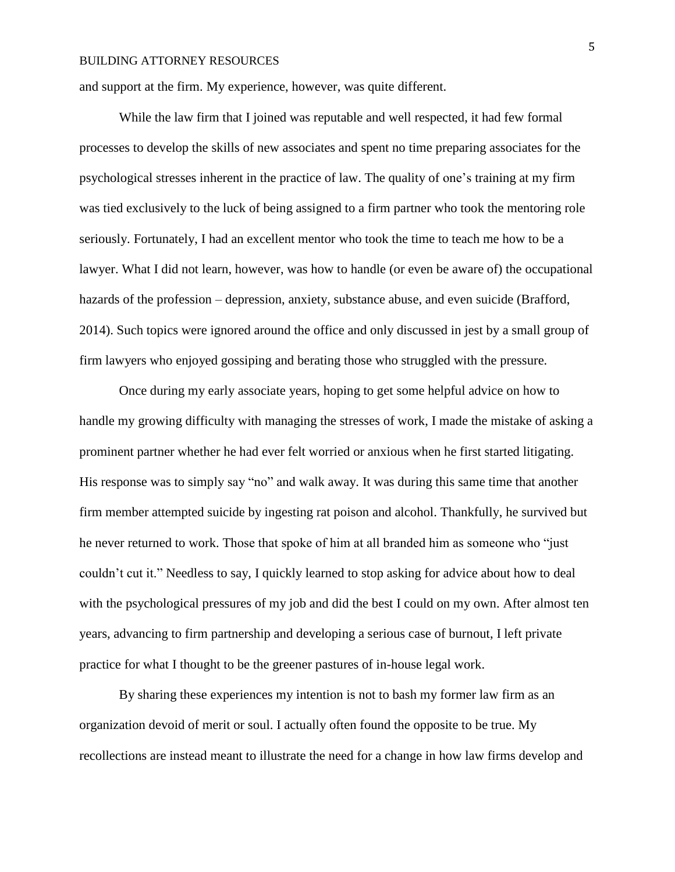and support at the firm. My experience, however, was quite different.

While the law firm that I joined was reputable and well respected, it had few formal processes to develop the skills of new associates and spent no time preparing associates for the psychological stresses inherent in the practice of law. The quality of one's training at my firm was tied exclusively to the luck of being assigned to a firm partner who took the mentoring role seriously. Fortunately, I had an excellent mentor who took the time to teach me how to be a lawyer. What I did not learn, however, was how to handle (or even be aware of) the occupational hazards of the profession – depression, anxiety, substance abuse, and even suicide (Brafford, 2014). Such topics were ignored around the office and only discussed in jest by a small group of firm lawyers who enjoyed gossiping and berating those who struggled with the pressure.

Once during my early associate years, hoping to get some helpful advice on how to handle my growing difficulty with managing the stresses of work, I made the mistake of asking a prominent partner whether he had ever felt worried or anxious when he first started litigating. His response was to simply say "no" and walk away. It was during this same time that another firm member attempted suicide by ingesting rat poison and alcohol. Thankfully, he survived but he never returned to work. Those that spoke of him at all branded him as someone who "just couldn't cut it." Needless to say, I quickly learned to stop asking for advice about how to deal with the psychological pressures of my job and did the best I could on my own. After almost ten years, advancing to firm partnership and developing a serious case of burnout, I left private practice for what I thought to be the greener pastures of in-house legal work.

By sharing these experiences my intention is not to bash my former law firm as an organization devoid of merit or soul. I actually often found the opposite to be true. My recollections are instead meant to illustrate the need for a change in how law firms develop and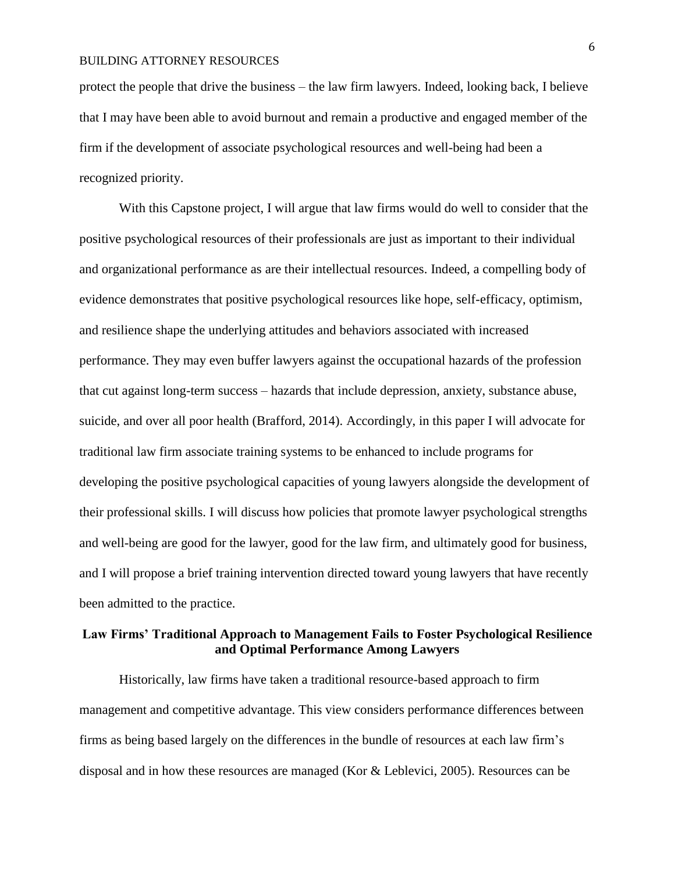protect the people that drive the business – the law firm lawyers. Indeed, looking back, I believe that I may have been able to avoid burnout and remain a productive and engaged member of the firm if the development of associate psychological resources and well-being had been a recognized priority.

With this Capstone project, I will argue that law firms would do well to consider that the positive psychological resources of their professionals are just as important to their individual and organizational performance as are their intellectual resources. Indeed, a compelling body of evidence demonstrates that positive psychological resources like hope, self-efficacy, optimism, and resilience shape the underlying attitudes and behaviors associated with increased performance. They may even buffer lawyers against the occupational hazards of the profession that cut against long-term success – hazards that include depression, anxiety, substance abuse, suicide, and over all poor health (Brafford, 2014). Accordingly, in this paper I will advocate for traditional law firm associate training systems to be enhanced to include programs for developing the positive psychological capacities of young lawyers alongside the development of their professional skills. I will discuss how policies that promote lawyer psychological strengths and well-being are good for the lawyer, good for the law firm, and ultimately good for business, and I will propose a brief training intervention directed toward young lawyers that have recently been admitted to the practice.

## **Law Firms' Traditional Approach to Management Fails to Foster Psychological Resilience and Optimal Performance Among Lawyers**

Historically, law firms have taken a traditional resource-based approach to firm management and competitive advantage. This view considers performance differences between firms as being based largely on the differences in the bundle of resources at each law firm's disposal and in how these resources are managed (Kor & Leblevici, 2005). Resources can be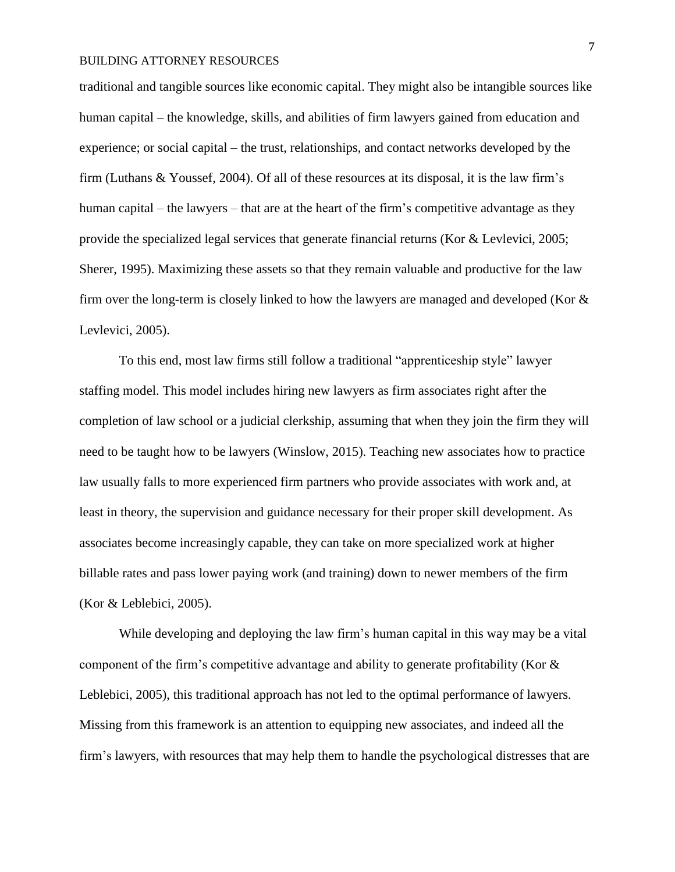traditional and tangible sources like economic capital. They might also be intangible sources like human capital – the knowledge, skills, and abilities of firm lawyers gained from education and experience; or social capital – the trust, relationships, and contact networks developed by the firm (Luthans & Youssef, 2004). Of all of these resources at its disposal, it is the law firm's human capital – the lawyers – that are at the heart of the firm's competitive advantage as they provide the specialized legal services that generate financial returns (Kor & Levlevici, 2005; Sherer, 1995). Maximizing these assets so that they remain valuable and productive for the law firm over the long-term is closely linked to how the lawyers are managed and developed (Kor  $\&$ Levlevici, 2005).

To this end, most law firms still follow a traditional "apprenticeship style" lawyer staffing model. This model includes hiring new lawyers as firm associates right after the completion of law school or a judicial clerkship, assuming that when they join the firm they will need to be taught how to be lawyers (Winslow, 2015). Teaching new associates how to practice law usually falls to more experienced firm partners who provide associates with work and, at least in theory, the supervision and guidance necessary for their proper skill development. As associates become increasingly capable, they can take on more specialized work at higher billable rates and pass lower paying work (and training) down to newer members of the firm (Kor & Leblebici, 2005).

While developing and deploying the law firm's human capital in this way may be a vital component of the firm's competitive advantage and ability to generate profitability (Kor & Leblebici, 2005), this traditional approach has not led to the optimal performance of lawyers. Missing from this framework is an attention to equipping new associates, and indeed all the firm's lawyers, with resources that may help them to handle the psychological distresses that are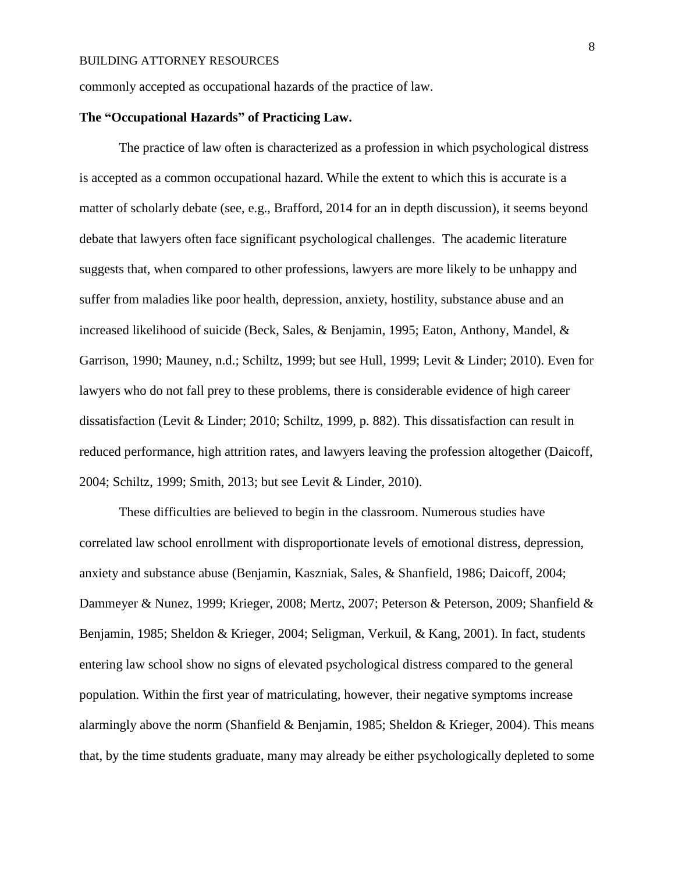commonly accepted as occupational hazards of the practice of law.

## **The "Occupational Hazards" of Practicing Law.**

The practice of law often is characterized as a profession in which psychological distress is accepted as a common occupational hazard. While the extent to which this is accurate is a matter of scholarly debate (see, e.g., Brafford, 2014 for an in depth discussion), it seems beyond debate that lawyers often face significant psychological challenges. The academic literature suggests that, when compared to other professions, lawyers are more likely to be unhappy and suffer from maladies like poor health, depression, anxiety, hostility, substance abuse and an increased likelihood of suicide (Beck, Sales, & Benjamin, 1995; Eaton, Anthony, Mandel, & Garrison, 1990; Mauney, n.d.; Schiltz, 1999; but see Hull, 1999; Levit & Linder; 2010). Even for lawyers who do not fall prey to these problems, there is considerable evidence of high career dissatisfaction (Levit & Linder; 2010; Schiltz, 1999, p. 882). This dissatisfaction can result in reduced performance, high attrition rates, and lawyers leaving the profession altogether (Daicoff, 2004; Schiltz, 1999; Smith, 2013; but see Levit & Linder, 2010).

These difficulties are believed to begin in the classroom. Numerous studies have correlated law school enrollment with disproportionate levels of emotional distress, depression, anxiety and substance abuse (Benjamin, Kaszniak, Sales, & Shanfield, 1986; Daicoff, 2004; Dammeyer & Nunez, 1999; Krieger, 2008; Mertz, 2007; Peterson & Peterson, 2009; Shanfield & Benjamin, 1985; Sheldon & Krieger, 2004; Seligman, Verkuil, & Kang, 2001). In fact, students entering law school show no signs of elevated psychological distress compared to the general population. Within the first year of matriculating, however, their negative symptoms increase alarmingly above the norm (Shanfield & Benjamin, 1985; Sheldon & Krieger, 2004). This means that, by the time students graduate, many may already be either psychologically depleted to some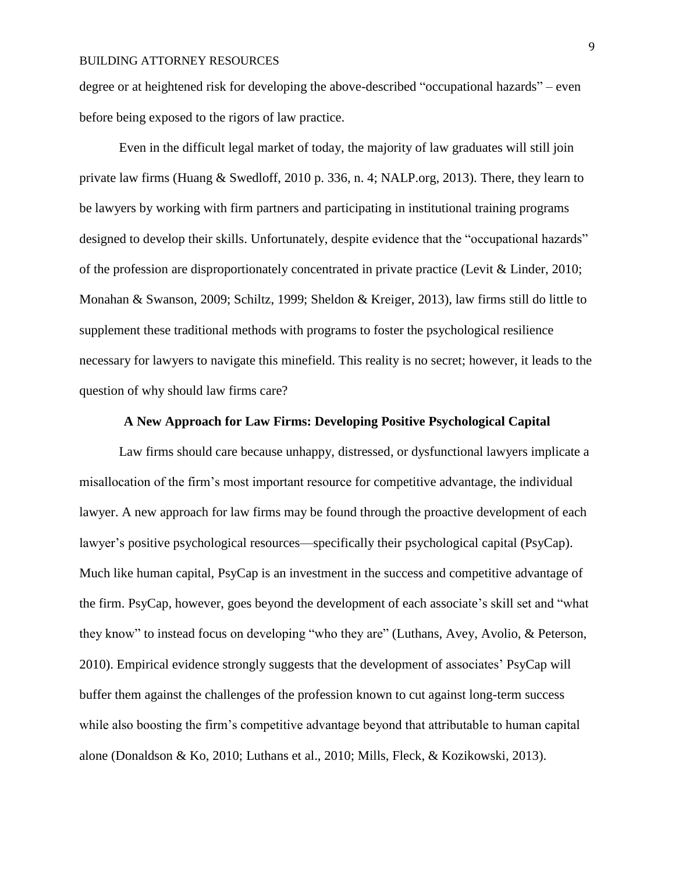degree or at heightened risk for developing the above-described "occupational hazards" – even before being exposed to the rigors of law practice.

Even in the difficult legal market of today, the majority of law graduates will still join private law firms (Huang & Swedloff, 2010 p. 336, n. 4; NALP.org, 2013). There, they learn to be lawyers by working with firm partners and participating in institutional training programs designed to develop their skills. Unfortunately, despite evidence that the "occupational hazards" of the profession are disproportionately concentrated in private practice (Levit & Linder, 2010; Monahan & Swanson, 2009; Schiltz, 1999; Sheldon & Kreiger, 2013), law firms still do little to supplement these traditional methods with programs to foster the psychological resilience necessary for lawyers to navigate this minefield. This reality is no secret; however, it leads to the question of why should law firms care?

#### **A New Approach for Law Firms: Developing Positive Psychological Capital**

Law firms should care because unhappy, distressed, or dysfunctional lawyers implicate a misallocation of the firm's most important resource for competitive advantage, the individual lawyer. A new approach for law firms may be found through the proactive development of each lawyer's positive psychological resources—specifically their psychological capital (PsyCap). Much like human capital, PsyCap is an investment in the success and competitive advantage of the firm. PsyCap, however, goes beyond the development of each associate's skill set and "what they know" to instead focus on developing "who they are" (Luthans, Avey, Avolio, & Peterson, 2010). Empirical evidence strongly suggests that the development of associates' PsyCap will buffer them against the challenges of the profession known to cut against long-term success while also boosting the firm's competitive advantage beyond that attributable to human capital alone (Donaldson & Ko, 2010; Luthans et al., 2010; Mills, Fleck, & Kozikowski, 2013).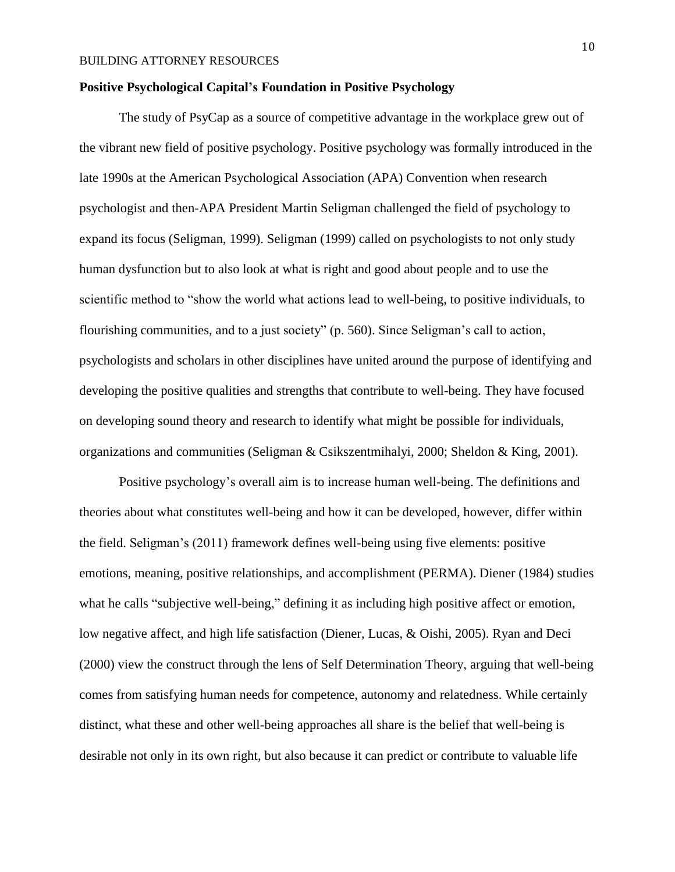#### **Positive Psychological Capital's Foundation in Positive Psychology**

The study of PsyCap as a source of competitive advantage in the workplace grew out of the vibrant new field of positive psychology. Positive psychology was formally introduced in the late 1990s at the American Psychological Association (APA) Convention when research psychologist and then-APA President Martin Seligman challenged the field of psychology to expand its focus (Seligman, 1999). Seligman (1999) called on psychologists to not only study human dysfunction but to also look at what is right and good about people and to use the scientific method to "show the world what actions lead to well-being, to positive individuals, to flourishing communities, and to a just society" (p. 560). Since Seligman's call to action, psychologists and scholars in other disciplines have united around the purpose of identifying and developing the positive qualities and strengths that contribute to well-being. They have focused on developing sound theory and research to identify what might be possible for individuals, organizations and communities (Seligman & Csikszentmihalyi, 2000; Sheldon & King, 2001).

Positive psychology's overall aim is to increase human well-being. The definitions and theories about what constitutes well-being and how it can be developed, however, differ within the field. Seligman's (2011) framework defines well-being using five elements: positive emotions, meaning, positive relationships, and accomplishment (PERMA). Diener (1984) studies what he calls "subjective well-being," defining it as including high positive affect or emotion, low negative affect, and high life satisfaction (Diener, Lucas, & Oishi, 2005). Ryan and Deci (2000) view the construct through the lens of Self Determination Theory, arguing that well-being comes from satisfying human needs for competence, autonomy and relatedness. While certainly distinct, what these and other well-being approaches all share is the belief that well-being is desirable not only in its own right, but also because it can predict or contribute to valuable life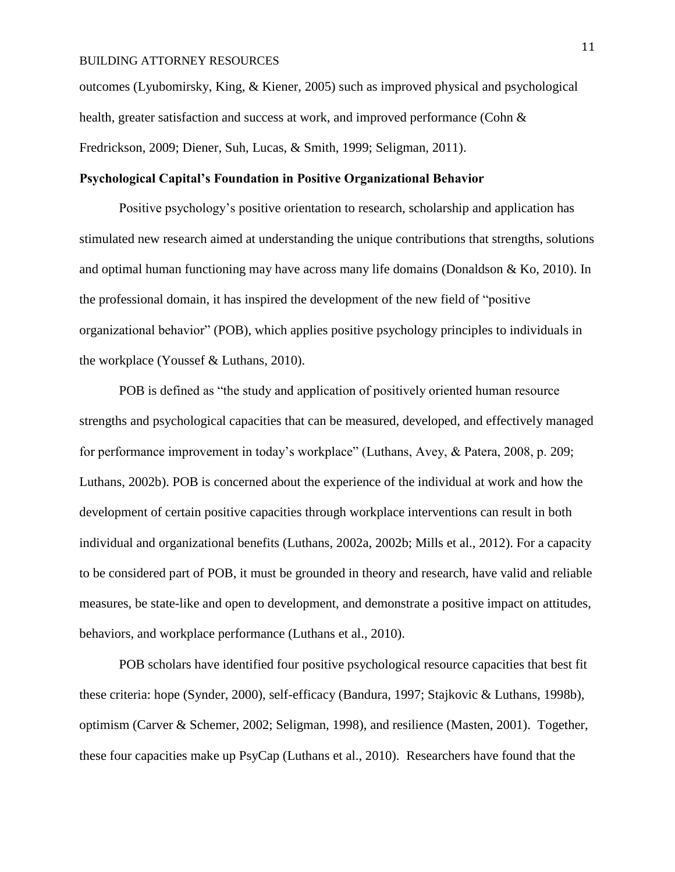outcomes (Lyubomirsky, King, & Kiener, 2005) such as improved physical and psychological health, greater satisfaction and success at work, and improved performance (Cohn & Fredrickson, 2009; Diener, Suh, Lucas, & Smith, 1999; Seligman, 2011).

## **Psychological Capital's Foundation in Positive Organizational Behavior**

Positive psychology's positive orientation to research, scholarship and application has stimulated new research aimed at understanding the unique contributions that strengths, solutions and optimal human functioning may have across many life domains (Donaldson & Ko, 2010). In the professional domain, it has inspired the development of the new field of "positive organizational behavior" (POB), which applies positive psychology principles to individuals in the workplace (Youssef & Luthans, 2010).

POB is defined as "the study and application of positively oriented human resource strengths and psychological capacities that can be measured, developed, and effectively managed for performance improvement in today's workplace" (Luthans, Avey, & Patera, 2008, p. 209; Luthans, 2002b). POB is concerned about the experience of the individual at work and how the development of certain positive capacities through workplace interventions can result in both individual and organizational benefits (Luthans, 2002a, 2002b; Mills et al., 2012). For a capacity to be considered part of POB, it must be grounded in theory and research, have valid and reliable measures, be state-like and open to development, and demonstrate a positive impact on attitudes, behaviors, and workplace performance (Luthans et al., 2010).

POB scholars have identified four positive psychological resource capacities that best fit these criteria: hope (Synder, 2000), self-efficacy (Bandura, 1997; Stajkovic & Luthans, 1998b), optimism (Carver & Schemer, 2002; Seligman, 1998), and resilience (Masten, 2001). Together, these four capacities make up PsyCap (Luthans et al., 2010). Researchers have found that the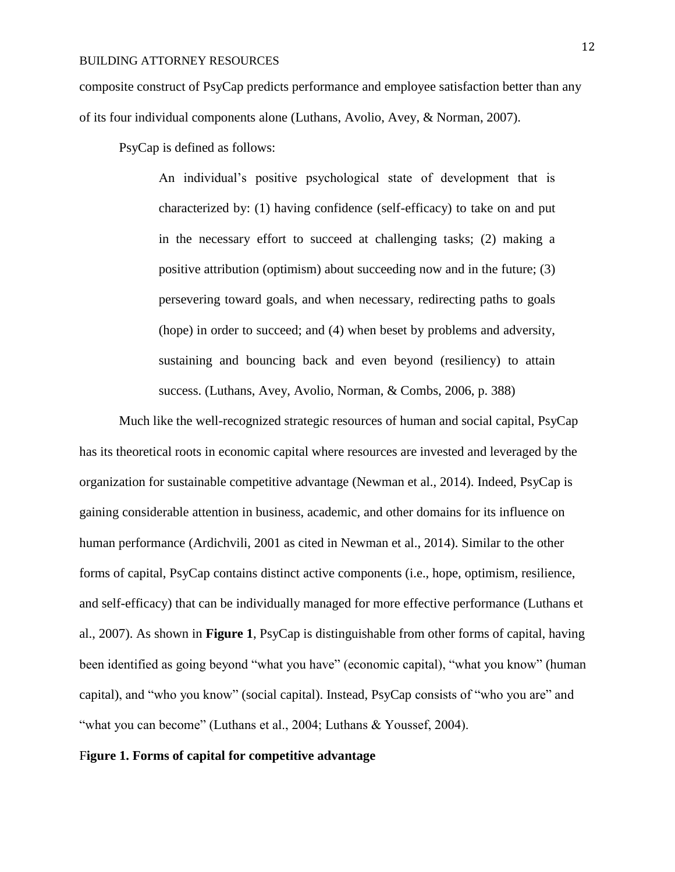composite construct of PsyCap predicts performance and employee satisfaction better than any of its four individual components alone (Luthans, Avolio, Avey, & Norman, 2007).

PsyCap is defined as follows:

An individual's positive psychological state of development that is characterized by: (1) having confidence (self-efficacy) to take on and put in the necessary effort to succeed at challenging tasks; (2) making a positive attribution (optimism) about succeeding now and in the future; (3) persevering toward goals, and when necessary, redirecting paths to goals (hope) in order to succeed; and (4) when beset by problems and adversity, sustaining and bouncing back and even beyond (resiliency) to attain success. (Luthans, Avey, Avolio, Norman, & Combs, 2006, p. 388)

Much like the well-recognized strategic resources of human and social capital, PsyCap has its theoretical roots in economic capital where resources are invested and leveraged by the organization for sustainable competitive advantage (Newman et al., 2014). Indeed, PsyCap is gaining considerable attention in business, academic, and other domains for its influence on human performance (Ardichvili, 2001 as cited in Newman et al., 2014). Similar to the other forms of capital, PsyCap contains distinct active components (i.e., hope, optimism, resilience, and self-efficacy) that can be individually managed for more effective performance (Luthans et al., 2007). As shown in **Figure 1**, PsyCap is distinguishable from other forms of capital, having been identified as going beyond "what you have" (economic capital), "what you know" (human capital), and "who you know" (social capital). Instead, PsyCap consists of "who you are" and "what you can become" (Luthans et al., 2004; Luthans & Youssef, 2004).

#### F**igure 1. Forms of capital for competitive advantage**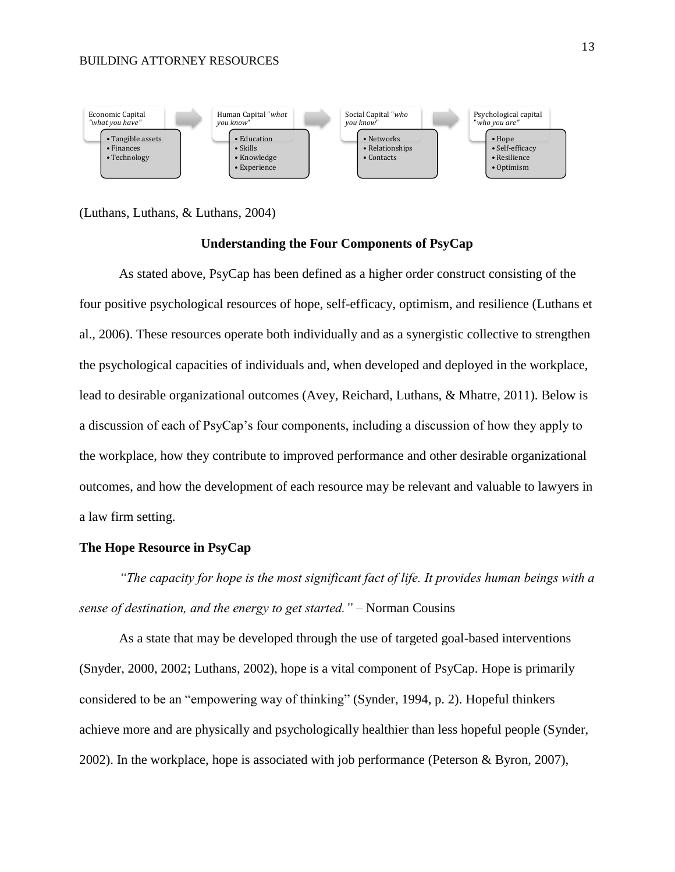

(Luthans, Luthans, & Luthans, 2004)

#### **Understanding the Four Components of PsyCap**

As stated above, PsyCap has been defined as a higher order construct consisting of the four positive psychological resources of hope, self-efficacy, optimism, and resilience (Luthans et al., 2006). These resources operate both individually and as a synergistic collective to strengthen the psychological capacities of individuals and, when developed and deployed in the workplace, lead to desirable organizational outcomes (Avey, Reichard, Luthans, & Mhatre, 2011). Below is a discussion of each of PsyCap's four components, including a discussion of how they apply to the workplace, how they contribute to improved performance and other desirable organizational outcomes, and how the development of each resource may be relevant and valuable to lawyers in a law firm setting.

#### **The Hope Resource in PsyCap**

*"The capacity for hope is the most significant fact of life. It provides human beings with a sense of destination, and the energy to get started."* – Norman Cousins

As a state that may be developed through the use of targeted goal-based interventions (Snyder, 2000, 2002; Luthans, 2002), hope is a vital component of PsyCap. Hope is primarily considered to be an "empowering way of thinking" (Synder, 1994, p. 2). Hopeful thinkers achieve more and are physically and psychologically healthier than less hopeful people (Synder, 2002). In the workplace, hope is associated with job performance (Peterson & Byron, 2007),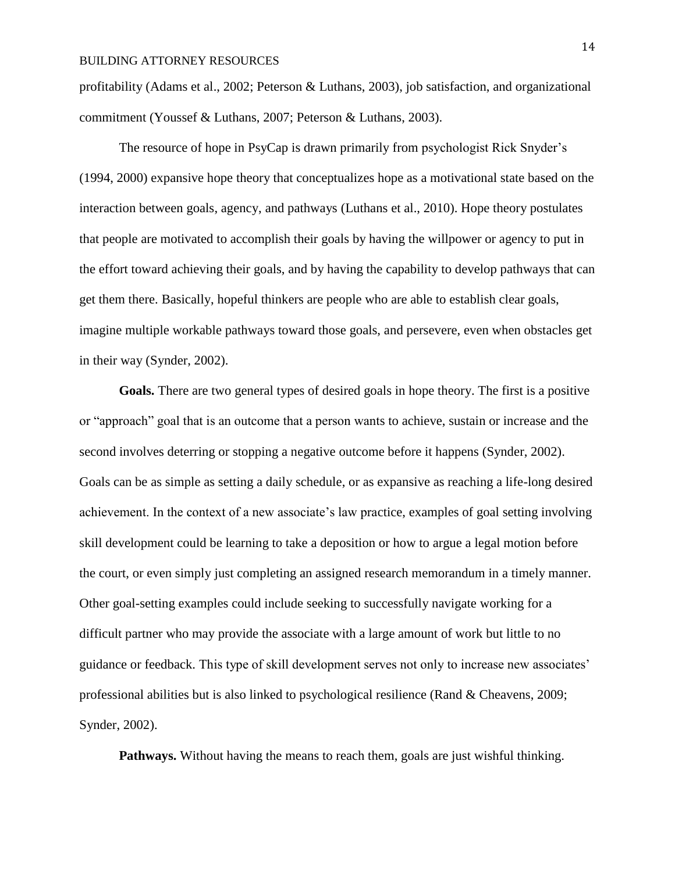profitability (Adams et al., 2002; Peterson & Luthans, 2003), job satisfaction, and organizational commitment (Youssef & Luthans, 2007; Peterson & Luthans, 2003).

The resource of hope in PsyCap is drawn primarily from psychologist Rick Snyder's (1994, 2000) expansive hope theory that conceptualizes hope as a motivational state based on the interaction between goals, agency, and pathways (Luthans et al., 2010). Hope theory postulates that people are motivated to accomplish their goals by having the willpower or agency to put in the effort toward achieving their goals, and by having the capability to develop pathways that can get them there. Basically, hopeful thinkers are people who are able to establish clear goals, imagine multiple workable pathways toward those goals, and persevere, even when obstacles get in their way (Synder, 2002).

**Goals.** There are two general types of desired goals in hope theory. The first is a positive or "approach" goal that is an outcome that a person wants to achieve, sustain or increase and the second involves deterring or stopping a negative outcome before it happens (Synder, 2002). Goals can be as simple as setting a daily schedule, or as expansive as reaching a life-long desired achievement. In the context of a new associate's law practice, examples of goal setting involving skill development could be learning to take a deposition or how to argue a legal motion before the court, or even simply just completing an assigned research memorandum in a timely manner. Other goal-setting examples could include seeking to successfully navigate working for a difficult partner who may provide the associate with a large amount of work but little to no guidance or feedback. This type of skill development serves not only to increase new associates' professional abilities but is also linked to psychological resilience (Rand & Cheavens, 2009; Synder, 2002).

**Pathways.** Without having the means to reach them, goals are just wishful thinking.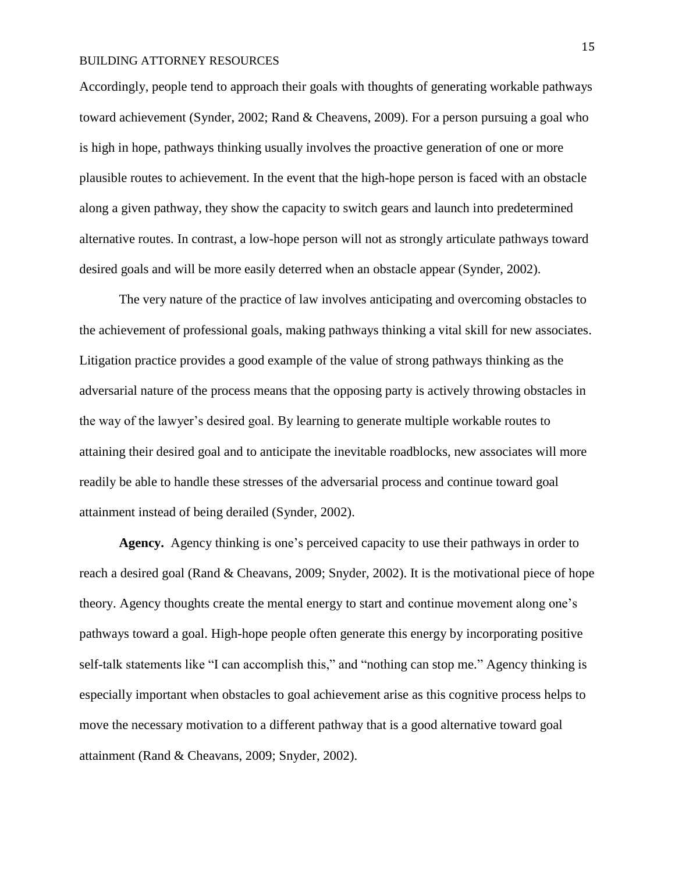Accordingly, people tend to approach their goals with thoughts of generating workable pathways toward achievement (Synder, 2002; Rand & Cheavens, 2009). For a person pursuing a goal who is high in hope, pathways thinking usually involves the proactive generation of one or more plausible routes to achievement. In the event that the high-hope person is faced with an obstacle along a given pathway, they show the capacity to switch gears and launch into predetermined alternative routes. In contrast, a low-hope person will not as strongly articulate pathways toward desired goals and will be more easily deterred when an obstacle appear (Synder, 2002).

The very nature of the practice of law involves anticipating and overcoming obstacles to the achievement of professional goals, making pathways thinking a vital skill for new associates. Litigation practice provides a good example of the value of strong pathways thinking as the adversarial nature of the process means that the opposing party is actively throwing obstacles in the way of the lawyer's desired goal. By learning to generate multiple workable routes to attaining their desired goal and to anticipate the inevitable roadblocks, new associates will more readily be able to handle these stresses of the adversarial process and continue toward goal attainment instead of being derailed (Synder, 2002).

**Agency.** Agency thinking is one's perceived capacity to use their pathways in order to reach a desired goal (Rand & Cheavans, 2009; Snyder, 2002). It is the motivational piece of hope theory. Agency thoughts create the mental energy to start and continue movement along one's pathways toward a goal. High-hope people often generate this energy by incorporating positive self-talk statements like "I can accomplish this," and "nothing can stop me." Agency thinking is especially important when obstacles to goal achievement arise as this cognitive process helps to move the necessary motivation to a different pathway that is a good alternative toward goal attainment (Rand & Cheavans, 2009; Snyder, 2002).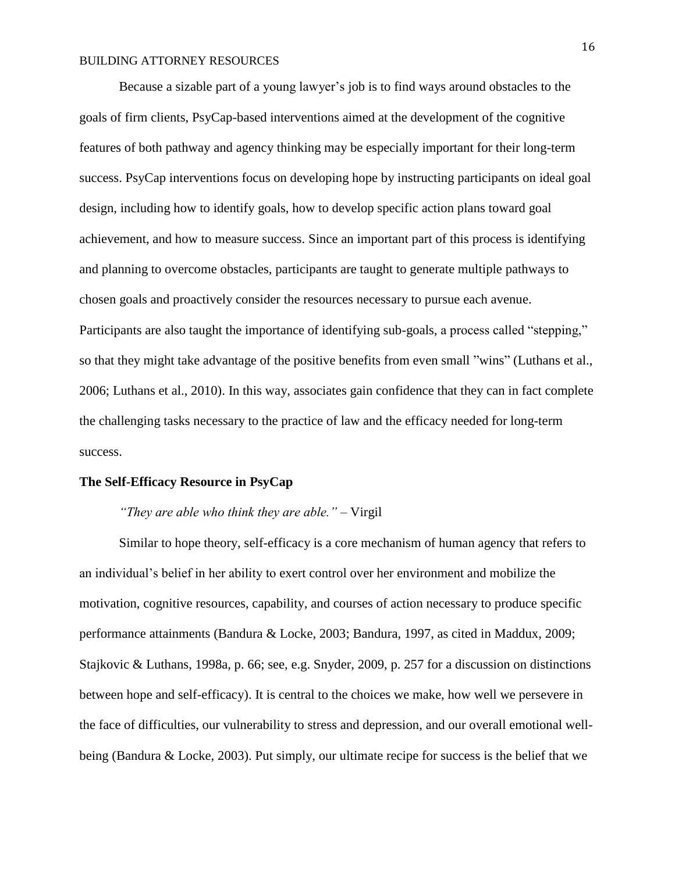Because a sizable part of a young lawyer's job is to find ways around obstacles to the goals of firm clients, PsyCap-based interventions aimed at the development of the cognitive features of both pathway and agency thinking may be especially important for their long-term success. PsyCap interventions focus on developing hope by instructing participants on ideal goal design, including how to identify goals, how to develop specific action plans toward goal achievement, and how to measure success. Since an important part of this process is identifying and planning to overcome obstacles, participants are taught to generate multiple pathways to chosen goals and proactively consider the resources necessary to pursue each avenue. Participants are also taught the importance of identifying sub-goals, a process called "stepping," so that they might take advantage of the positive benefits from even small "wins" (Luthans et al., 2006; Luthans et al., 2010). In this way, associates gain confidence that they can in fact complete the challenging tasks necessary to the practice of law and the efficacy needed for long-term success.

#### **The Self-Efficacy Resource in PsyCap**

#### *"They are able who think they are able." –* Virgil

Similar to hope theory, self-efficacy is a core mechanism of human agency that refers to an individual's belief in her ability to exert control over her environment and mobilize the motivation, cognitive resources, capability, and courses of action necessary to produce specific performance attainments (Bandura & Locke, 2003; Bandura, 1997, as cited in Maddux, 2009; Stajkovic & Luthans, 1998a, p. 66; see, e.g. Snyder, 2009, p. 257 for a discussion on distinctions between hope and self-efficacy). It is central to the choices we make, how well we persevere in the face of difficulties, our vulnerability to stress and depression, and our overall emotional wellbeing (Bandura & Locke, 2003). Put simply, our ultimate recipe for success is the belief that we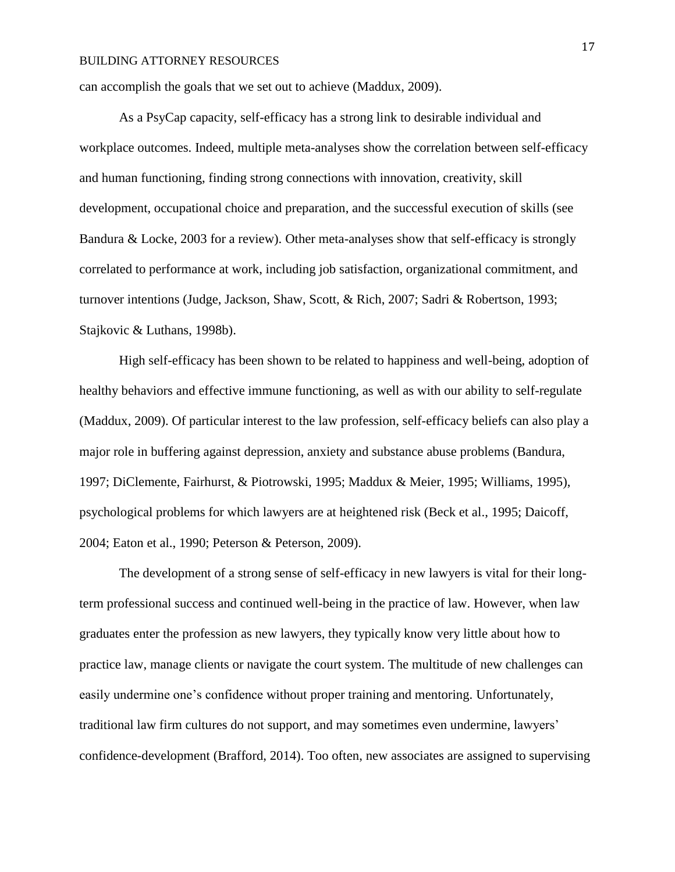can accomplish the goals that we set out to achieve (Maddux, 2009).

As a PsyCap capacity, self-efficacy has a strong link to desirable individual and workplace outcomes. Indeed, multiple meta-analyses show the correlation between self-efficacy and human functioning, finding strong connections with innovation, creativity, skill development, occupational choice and preparation, and the successful execution of skills (see Bandura & Locke, 2003 for a review). Other meta-analyses show that self-efficacy is strongly correlated to performance at work, including job satisfaction, organizational commitment, and turnover intentions (Judge, Jackson, Shaw, Scott, & Rich, 2007; Sadri & Robertson, 1993; Stajkovic & Luthans, 1998b).

High self-efficacy has been shown to be related to happiness and well-being, adoption of healthy behaviors and effective immune functioning, as well as with our ability to self-regulate (Maddux, 2009). Of particular interest to the law profession, self-efficacy beliefs can also play a major role in buffering against depression, anxiety and substance abuse problems (Bandura, 1997; DiClemente, Fairhurst, & Piotrowski, 1995; Maddux & Meier, 1995; Williams, 1995), psychological problems for which lawyers are at heightened risk (Beck et al., 1995; Daicoff, 2004; Eaton et al., 1990; Peterson & Peterson, 2009).

The development of a strong sense of self-efficacy in new lawyers is vital for their longterm professional success and continued well-being in the practice of law. However, when law graduates enter the profession as new lawyers, they typically know very little about how to practice law, manage clients or navigate the court system. The multitude of new challenges can easily undermine one's confidence without proper training and mentoring. Unfortunately, traditional law firm cultures do not support, and may sometimes even undermine, lawyers' confidence-development (Brafford, 2014). Too often, new associates are assigned to supervising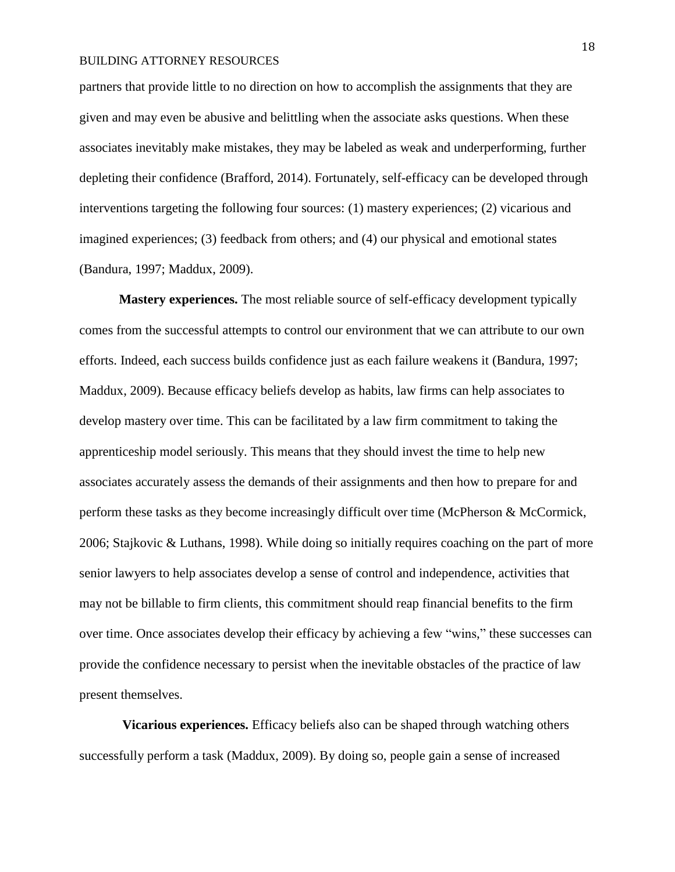partners that provide little to no direction on how to accomplish the assignments that they are given and may even be abusive and belittling when the associate asks questions. When these associates inevitably make mistakes, they may be labeled as weak and underperforming, further depleting their confidence (Brafford, 2014). Fortunately, self-efficacy can be developed through interventions targeting the following four sources: (1) mastery experiences; (2) vicarious and imagined experiences; (3) feedback from others; and (4) our physical and emotional states (Bandura, 1997; Maddux, 2009).

**Mastery experiences.** The most reliable source of self-efficacy development typically comes from the successful attempts to control our environment that we can attribute to our own efforts. Indeed, each success builds confidence just as each failure weakens it (Bandura, 1997; Maddux, 2009). Because efficacy beliefs develop as habits, law firms can help associates to develop mastery over time. This can be facilitated by a law firm commitment to taking the apprenticeship model seriously. This means that they should invest the time to help new associates accurately assess the demands of their assignments and then how to prepare for and perform these tasks as they become increasingly difficult over time (McPherson & McCormick, 2006; Stajkovic & Luthans, 1998). While doing so initially requires coaching on the part of more senior lawyers to help associates develop a sense of control and independence, activities that may not be billable to firm clients, this commitment should reap financial benefits to the firm over time. Once associates develop their efficacy by achieving a few "wins," these successes can provide the confidence necessary to persist when the inevitable obstacles of the practice of law present themselves.

**Vicarious experiences.** Efficacy beliefs also can be shaped through watching others successfully perform a task (Maddux, 2009). By doing so, people gain a sense of increased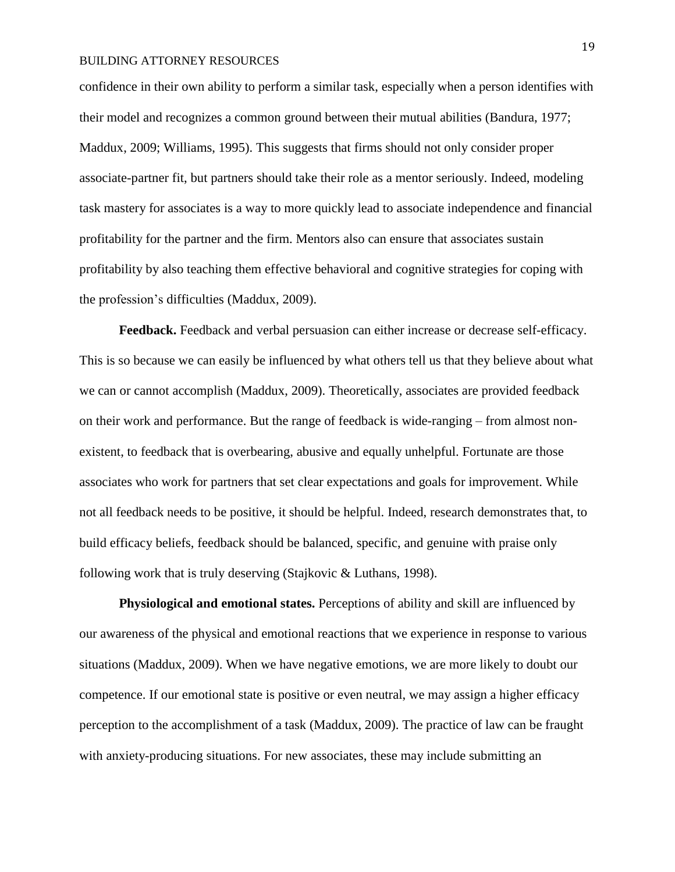confidence in their own ability to perform a similar task, especially when a person identifies with their model and recognizes a common ground between their mutual abilities (Bandura, 1977; Maddux, 2009; Williams, 1995). This suggests that firms should not only consider proper associate-partner fit, but partners should take their role as a mentor seriously. Indeed, modeling task mastery for associates is a way to more quickly lead to associate independence and financial profitability for the partner and the firm. Mentors also can ensure that associates sustain profitability by also teaching them effective behavioral and cognitive strategies for coping with the profession's difficulties (Maddux, 2009).

**Feedback.** Feedback and verbal persuasion can either increase or decrease self-efficacy. This is so because we can easily be influenced by what others tell us that they believe about what we can or cannot accomplish (Maddux, 2009). Theoretically, associates are provided feedback on their work and performance. But the range of feedback is wide-ranging – from almost nonexistent, to feedback that is overbearing, abusive and equally unhelpful. Fortunate are those associates who work for partners that set clear expectations and goals for improvement. While not all feedback needs to be positive, it should be helpful. Indeed, research demonstrates that, to build efficacy beliefs, feedback should be balanced, specific, and genuine with praise only following work that is truly deserving (Stajkovic & Luthans, 1998).

**Physiological and emotional states.** Perceptions of ability and skill are influenced by our awareness of the physical and emotional reactions that we experience in response to various situations (Maddux, 2009). When we have negative emotions, we are more likely to doubt our competence. If our emotional state is positive or even neutral, we may assign a higher efficacy perception to the accomplishment of a task (Maddux, 2009). The practice of law can be fraught with anxiety-producing situations. For new associates, these may include submitting an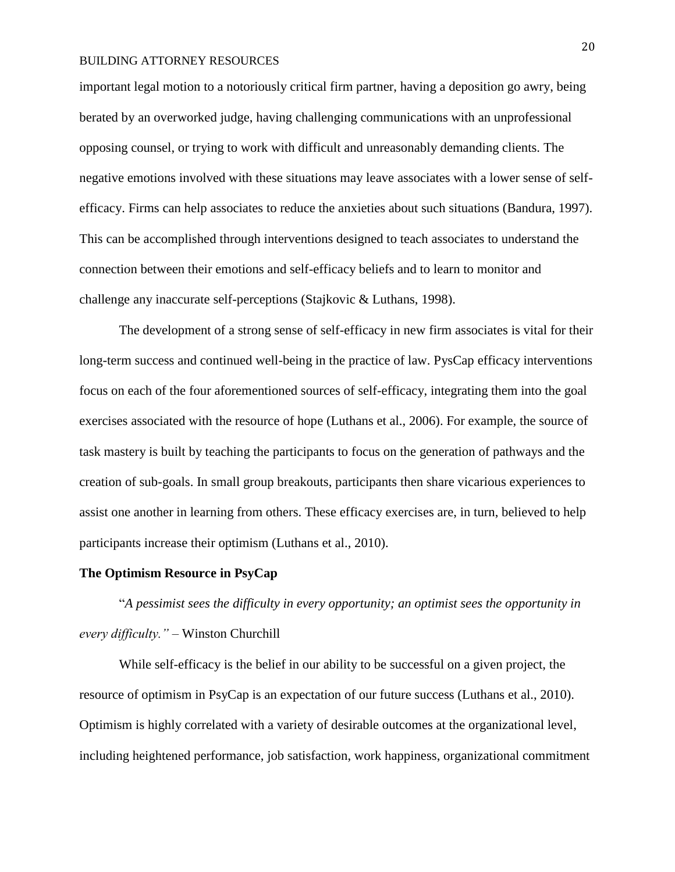important legal motion to a notoriously critical firm partner, having a deposition go awry, being berated by an overworked judge, having challenging communications with an unprofessional opposing counsel, or trying to work with difficult and unreasonably demanding clients. The negative emotions involved with these situations may leave associates with a lower sense of selfefficacy. Firms can help associates to reduce the anxieties about such situations (Bandura, 1997). This can be accomplished through interventions designed to teach associates to understand the connection between their emotions and self-efficacy beliefs and to learn to monitor and challenge any inaccurate self-perceptions (Stajkovic & Luthans, 1998).

The development of a strong sense of self-efficacy in new firm associates is vital for their long-term success and continued well-being in the practice of law. PysCap efficacy interventions focus on each of the four aforementioned sources of self-efficacy, integrating them into the goal exercises associated with the resource of hope (Luthans et al., 2006). For example, the source of task mastery is built by teaching the participants to focus on the generation of pathways and the creation of sub-goals. In small group breakouts, participants then share vicarious experiences to assist one another in learning from others. These efficacy exercises are, in turn, believed to help participants increase their optimism (Luthans et al., 2010).

#### **The Optimism Resource in PsyCap**

"*A pessimist sees the difficulty in every opportunity; an optimist sees the opportunity in every difficulty."* – Winston Churchill

While self-efficacy is the belief in our ability to be successful on a given project, the resource of optimism in PsyCap is an expectation of our future success (Luthans et al., 2010). Optimism is highly correlated with a variety of desirable outcomes at the organizational level, including heightened performance, job satisfaction, work happiness, organizational commitment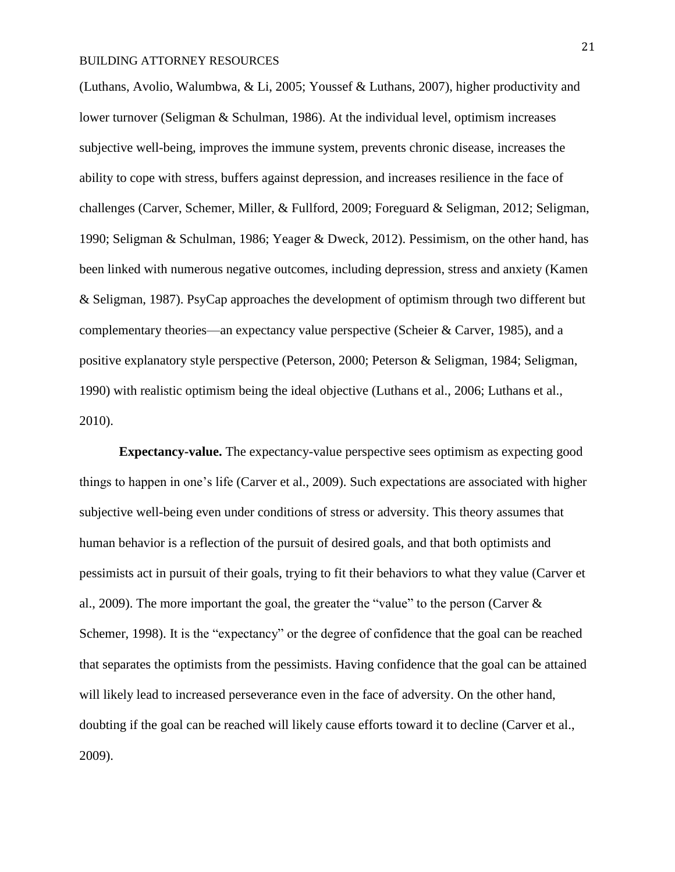(Luthans, Avolio, Walumbwa, & Li, 2005; Youssef & Luthans, 2007), higher productivity and lower turnover (Seligman & Schulman, 1986). At the individual level, optimism increases subjective well-being, improves the immune system, prevents chronic disease, increases the ability to cope with stress, buffers against depression, and increases resilience in the face of challenges (Carver, Schemer, Miller, & Fullford, 2009; Foreguard & Seligman, 2012; Seligman, 1990; Seligman & Schulman, 1986; Yeager & Dweck, 2012). Pessimism, on the other hand, has been linked with numerous negative outcomes, including depression, stress and anxiety (Kamen & Seligman, 1987). PsyCap approaches the development of optimism through two different but complementary theories—an expectancy value perspective (Scheier & Carver, 1985), and a positive explanatory style perspective (Peterson, 2000; Peterson & Seligman, 1984; Seligman, 1990) with realistic optimism being the ideal objective (Luthans et al., 2006; Luthans et al., 2010).

**Expectancy-value.** The expectancy-value perspective sees optimism as expecting good things to happen in one's life (Carver et al., 2009). Such expectations are associated with higher subjective well-being even under conditions of stress or adversity. This theory assumes that human behavior is a reflection of the pursuit of desired goals, and that both optimists and pessimists act in pursuit of their goals, trying to fit their behaviors to what they value (Carver et al., 2009). The more important the goal, the greater the "value" to the person (Carver & Schemer, 1998). It is the "expectancy" or the degree of confidence that the goal can be reached that separates the optimists from the pessimists. Having confidence that the goal can be attained will likely lead to increased perseverance even in the face of adversity. On the other hand, doubting if the goal can be reached will likely cause efforts toward it to decline (Carver et al., 2009).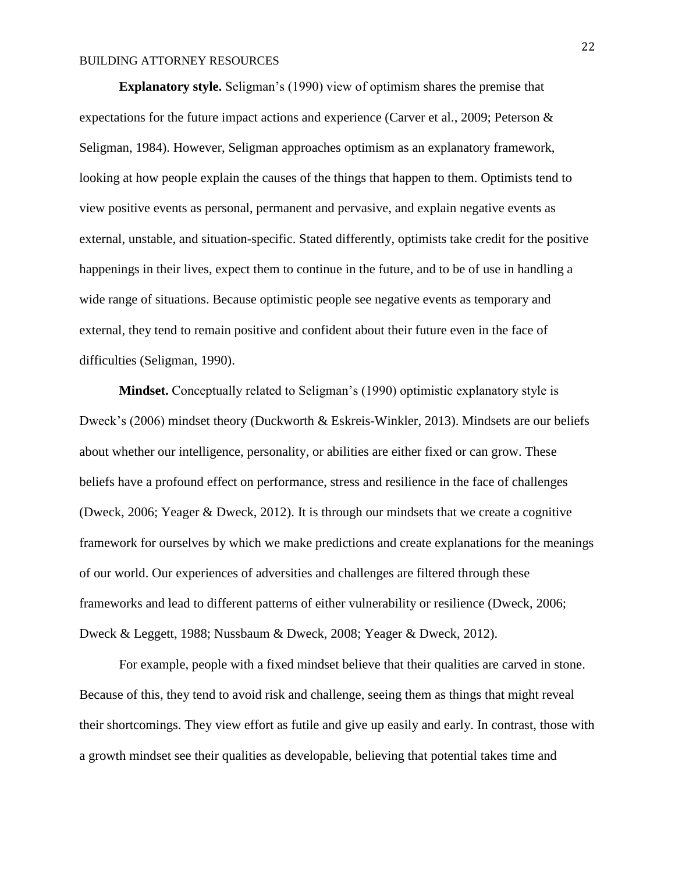**Explanatory style.** Seligman's (1990) view of optimism shares the premise that expectations for the future impact actions and experience (Carver et al., 2009; Peterson & Seligman, 1984). However, Seligman approaches optimism as an explanatory framework, looking at how people explain the causes of the things that happen to them. Optimists tend to view positive events as personal, permanent and pervasive, and explain negative events as external, unstable, and situation-specific. Stated differently, optimists take credit for the positive happenings in their lives, expect them to continue in the future, and to be of use in handling a wide range of situations. Because optimistic people see negative events as temporary and external, they tend to remain positive and confident about their future even in the face of difficulties (Seligman, 1990).

**Mindset.** Conceptually related to Seligman's (1990) optimistic explanatory style is Dweck's (2006) mindset theory (Duckworth & Eskreis-Winkler, 2013). Mindsets are our beliefs about whether our intelligence, personality, or abilities are either fixed or can grow. These beliefs have a profound effect on performance, stress and resilience in the face of challenges (Dweck, 2006; Yeager & Dweck, 2012). It is through our mindsets that we create a cognitive framework for ourselves by which we make predictions and create explanations for the meanings of our world. Our experiences of adversities and challenges are filtered through these frameworks and lead to different patterns of either vulnerability or resilience (Dweck, 2006; Dweck & Leggett, 1988; Nussbaum & Dweck, 2008; Yeager & Dweck, 2012).

For example, people with a fixed mindset believe that their qualities are carved in stone. Because of this, they tend to avoid risk and challenge, seeing them as things that might reveal their shortcomings. They view effort as futile and give up easily and early. In contrast, those with a growth mindset see their qualities as developable, believing that potential takes time and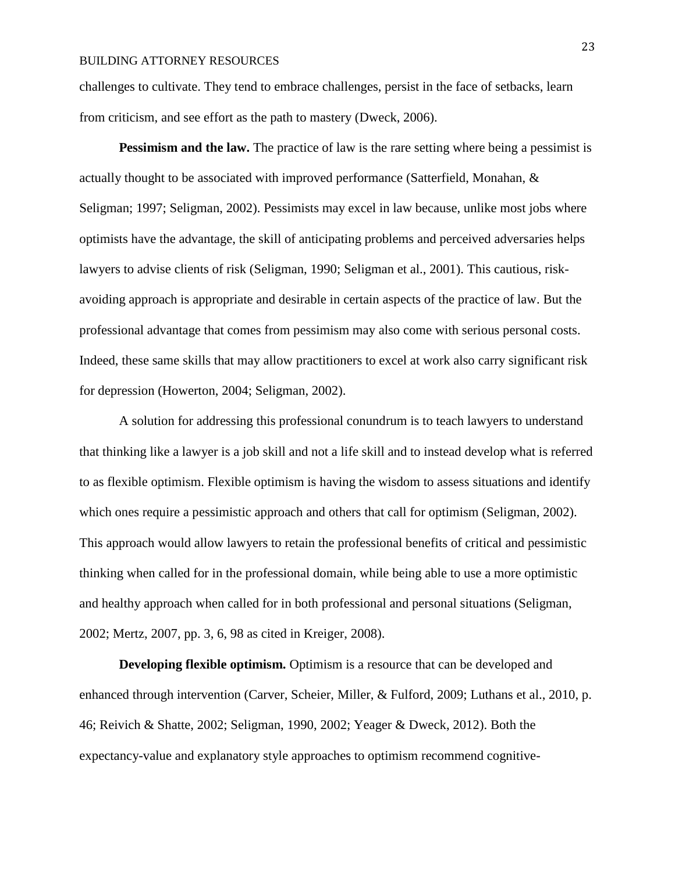challenges to cultivate. They tend to embrace challenges, persist in the face of setbacks, learn from criticism, and see effort as the path to mastery (Dweck, 2006).

**Pessimism and the law.** The practice of law is the rare setting where being a pessimist is actually thought to be associated with improved performance (Satterfield, Monahan, & Seligman; 1997; Seligman, 2002). Pessimists may excel in law because, unlike most jobs where optimists have the advantage, the skill of anticipating problems and perceived adversaries helps lawyers to advise clients of risk (Seligman, 1990; Seligman et al., 2001). This cautious, riskavoiding approach is appropriate and desirable in certain aspects of the practice of law. But the professional advantage that comes from pessimism may also come with serious personal costs. Indeed, these same skills that may allow practitioners to excel at work also carry significant risk for depression (Howerton, 2004; Seligman, 2002).

A solution for addressing this professional conundrum is to teach lawyers to understand that thinking like a lawyer is a job skill and not a life skill and to instead develop what is referred to as flexible optimism. Flexible optimism is having the wisdom to assess situations and identify which ones require a pessimistic approach and others that call for optimism (Seligman, 2002). This approach would allow lawyers to retain the professional benefits of critical and pessimistic thinking when called for in the professional domain, while being able to use a more optimistic and healthy approach when called for in both professional and personal situations (Seligman, 2002; Mertz, 2007, pp. 3, 6, 98 as cited in Kreiger, 2008).

**Developing flexible optimism.** Optimism is a resource that can be developed and enhanced through intervention (Carver, Scheier, Miller, & Fulford, 2009; Luthans et al., 2010, p. 46; Reivich & Shatte, 2002; Seligman, 1990, 2002; Yeager & Dweck, 2012). Both the expectancy-value and explanatory style approaches to optimism recommend cognitive-

23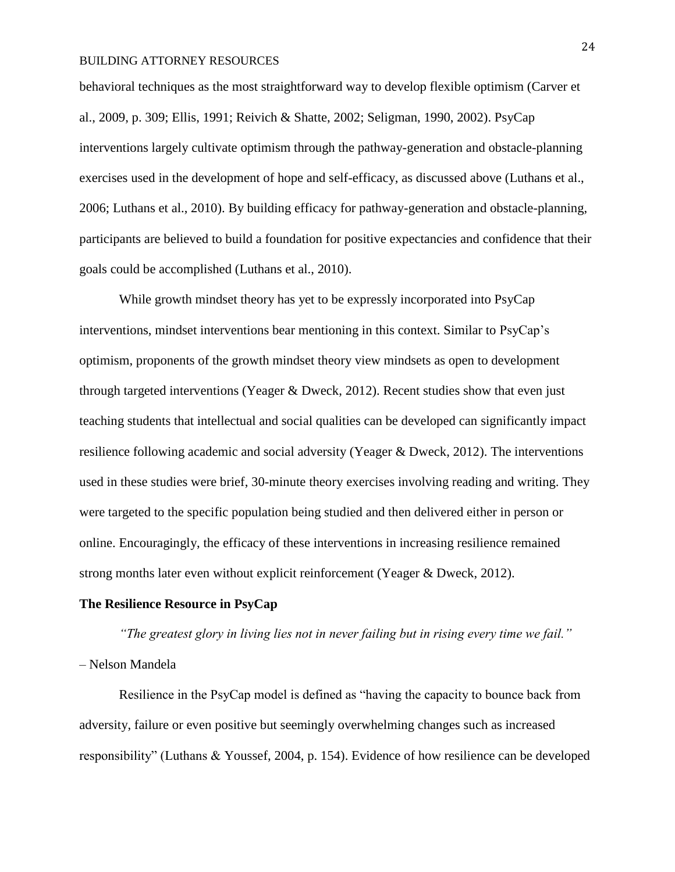behavioral techniques as the most straightforward way to develop flexible optimism (Carver et al., 2009, p. 309; Ellis, 1991; Reivich & Shatte, 2002; Seligman, 1990, 2002). PsyCap interventions largely cultivate optimism through the pathway-generation and obstacle-planning exercises used in the development of hope and self-efficacy, as discussed above (Luthans et al., 2006; Luthans et al., 2010). By building efficacy for pathway-generation and obstacle-planning, participants are believed to build a foundation for positive expectancies and confidence that their goals could be accomplished (Luthans et al., 2010).

While growth mindset theory has yet to be expressly incorporated into PsyCap interventions, mindset interventions bear mentioning in this context. Similar to PsyCap's optimism, proponents of the growth mindset theory view mindsets as open to development through targeted interventions (Yeager & Dweck, 2012). Recent studies show that even just teaching students that intellectual and social qualities can be developed can significantly impact resilience following academic and social adversity (Yeager & Dweck, 2012). The interventions used in these studies were brief, 30-minute theory exercises involving reading and writing. They were targeted to the specific population being studied and then delivered either in person or online. Encouragingly, the efficacy of these interventions in increasing resilience remained strong months later even without explicit reinforcement (Yeager & Dweck, 2012).

#### **The Resilience Resource in PsyCap**

*"The greatest glory in living lies not in never failing but in rising every time we fail."*  – Nelson Mandela

Resilience in the PsyCap model is defined as "having the capacity to bounce back from adversity, failure or even positive but seemingly overwhelming changes such as increased responsibility" (Luthans & Youssef, 2004, p. 154). Evidence of how resilience can be developed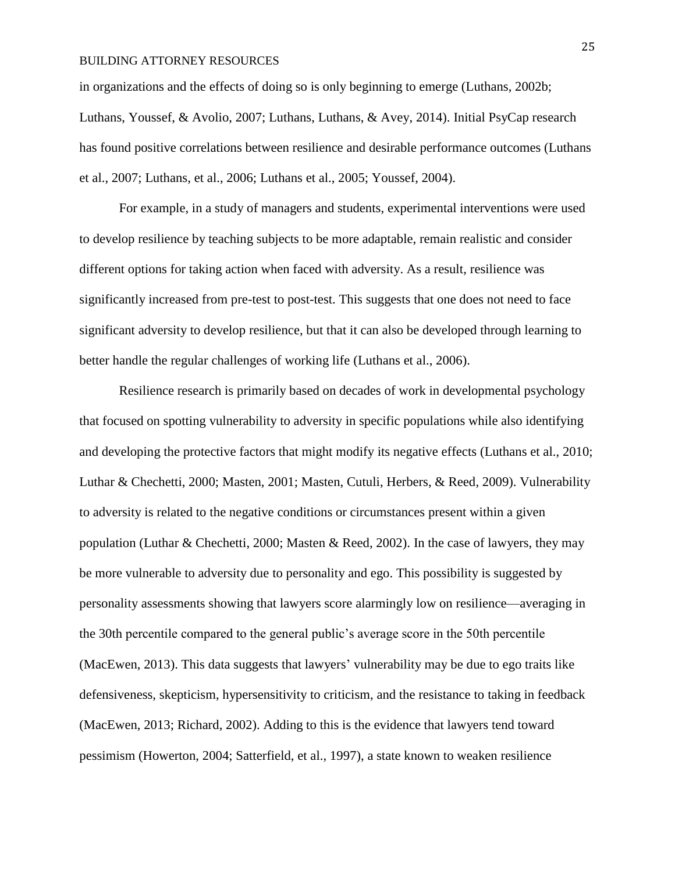in organizations and the effects of doing so is only beginning to emerge (Luthans, 2002b; Luthans, Youssef, & Avolio, 2007; Luthans, Luthans, & Avey, 2014). Initial PsyCap research has found positive correlations between resilience and desirable performance outcomes (Luthans et al., 2007; Luthans, et al., 2006; Luthans et al., 2005; Youssef, 2004).

For example, in a study of managers and students, experimental interventions were used to develop resilience by teaching subjects to be more adaptable, remain realistic and consider different options for taking action when faced with adversity. As a result, resilience was significantly increased from pre-test to post-test. This suggests that one does not need to face significant adversity to develop resilience, but that it can also be developed through learning to better handle the regular challenges of working life (Luthans et al., 2006).

Resilience research is primarily based on decades of work in developmental psychology that focused on spotting vulnerability to adversity in specific populations while also identifying and developing the protective factors that might modify its negative effects (Luthans et al., 2010; Luthar & Chechetti, 2000; Masten, 2001; Masten, Cutuli, Herbers, & Reed, 2009). Vulnerability to adversity is related to the negative conditions or circumstances present within a given population (Luthar & Chechetti, 2000; Masten & Reed, 2002). In the case of lawyers, they may be more vulnerable to adversity due to personality and ego. This possibility is suggested by personality assessments showing that lawyers score alarmingly low on resilience—averaging in the 30th percentile compared to the general public's average score in the 50th percentile (MacEwen, 2013). This data suggests that lawyers' vulnerability may be due to ego traits like defensiveness, skepticism, hypersensitivity to criticism, and the resistance to taking in feedback (MacEwen, 2013; Richard, 2002). Adding to this is the evidence that lawyers tend toward pessimism (Howerton, 2004; Satterfield, et al., 1997), a state known to weaken resilience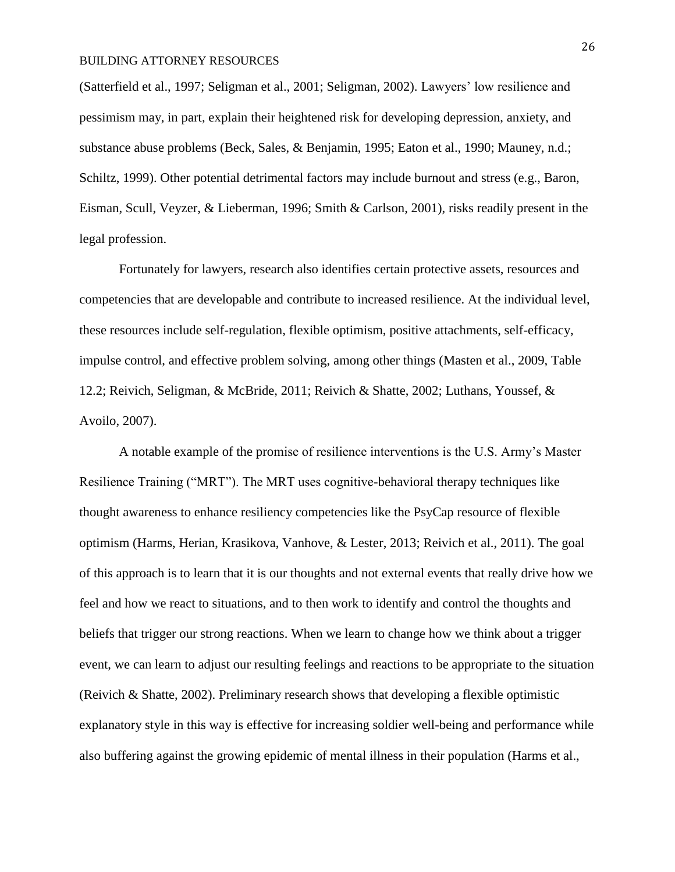(Satterfield et al., 1997; Seligman et al., 2001; Seligman, 2002). Lawyers' low resilience and pessimism may, in part, explain their heightened risk for developing depression, anxiety, and substance abuse problems (Beck, Sales, & Benjamin, 1995; Eaton et al., 1990; Mauney, n.d.; Schiltz, 1999). Other potential detrimental factors may include burnout and stress (e.g., Baron, Eisman, Scull, Veyzer, & Lieberman, 1996; Smith & Carlson, 2001), risks readily present in the legal profession.

Fortunately for lawyers, research also identifies certain protective assets, resources and competencies that are developable and contribute to increased resilience. At the individual level, these resources include self-regulation, flexible optimism, positive attachments, self-efficacy, impulse control, and effective problem solving, among other things (Masten et al., 2009, Table 12.2; Reivich, Seligman, & McBride, 2011; Reivich & Shatte, 2002; Luthans, Youssef, & Avoilo, 2007).

A notable example of the promise of resilience interventions is the U.S. Army's Master Resilience Training ("MRT"). The MRT uses cognitive-behavioral therapy techniques like thought awareness to enhance resiliency competencies like the PsyCap resource of flexible optimism (Harms, Herian, Krasikova, Vanhove, & Lester, 2013; Reivich et al., 2011). The goal of this approach is to learn that it is our thoughts and not external events that really drive how we feel and how we react to situations, and to then work to identify and control the thoughts and beliefs that trigger our strong reactions. When we learn to change how we think about a trigger event, we can learn to adjust our resulting feelings and reactions to be appropriate to the situation (Reivich & Shatte, 2002). Preliminary research shows that developing a flexible optimistic explanatory style in this way is effective for increasing soldier well-being and performance while also buffering against the growing epidemic of mental illness in their population (Harms et al.,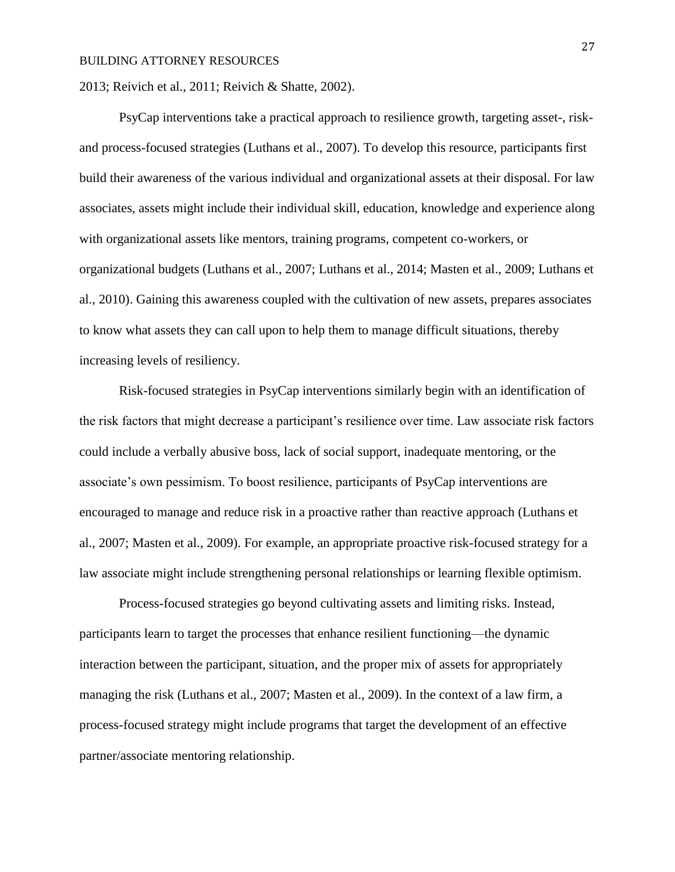2013; Reivich et al., 2011; Reivich & Shatte, 2002).

PsyCap interventions take a practical approach to resilience growth, targeting asset-, riskand process-focused strategies (Luthans et al., 2007). To develop this resource, participants first build their awareness of the various individual and organizational assets at their disposal. For law associates, assets might include their individual skill, education, knowledge and experience along with organizational assets like mentors, training programs, competent co-workers, or organizational budgets (Luthans et al., 2007; Luthans et al., 2014; Masten et al., 2009; Luthans et al., 2010). Gaining this awareness coupled with the cultivation of new assets, prepares associates to know what assets they can call upon to help them to manage difficult situations, thereby increasing levels of resiliency.

Risk-focused strategies in PsyCap interventions similarly begin with an identification of the risk factors that might decrease a participant's resilience over time. Law associate risk factors could include a verbally abusive boss, lack of social support, inadequate mentoring, or the associate's own pessimism. To boost resilience, participants of PsyCap interventions are encouraged to manage and reduce risk in a proactive rather than reactive approach (Luthans et al., 2007; Masten et al., 2009). For example, an appropriate proactive risk-focused strategy for a law associate might include strengthening personal relationships or learning flexible optimism.

Process-focused strategies go beyond cultivating assets and limiting risks. Instead, participants learn to target the processes that enhance resilient functioning—the dynamic interaction between the participant, situation, and the proper mix of assets for appropriately managing the risk (Luthans et al., 2007; Masten et al., 2009). In the context of a law firm, a process-focused strategy might include programs that target the development of an effective partner/associate mentoring relationship.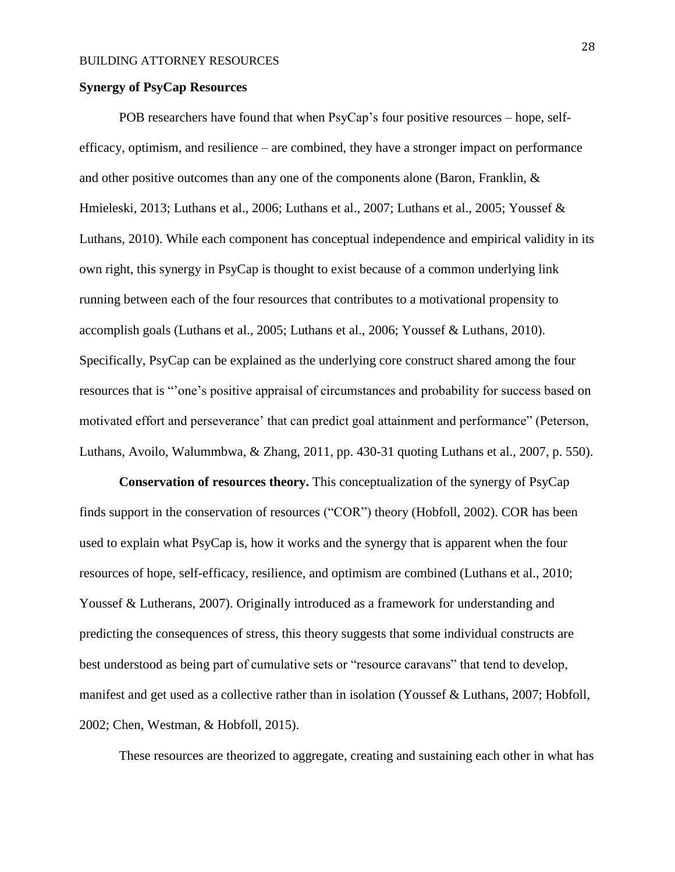#### **Synergy of PsyCap Resources**

POB researchers have found that when PsyCap's four positive resources – hope, selfefficacy, optimism, and resilience – are combined, they have a stronger impact on performance and other positive outcomes than any one of the components alone (Baron, Franklin,  $\&$ Hmieleski, 2013; Luthans et al., 2006; Luthans et al., 2007; Luthans et al., 2005; Youssef & Luthans, 2010). While each component has conceptual independence and empirical validity in its own right, this synergy in PsyCap is thought to exist because of a common underlying link running between each of the four resources that contributes to a motivational propensity to accomplish goals (Luthans et al., 2005; Luthans et al., 2006; Youssef & Luthans, 2010). Specifically, PsyCap can be explained as the underlying core construct shared among the four resources that is "'one's positive appraisal of circumstances and probability for success based on motivated effort and perseverance' that can predict goal attainment and performance" (Peterson, Luthans, Avoilo, Walummbwa, & Zhang, 2011, pp. 430-31 quoting Luthans et al., 2007, p. 550).

**Conservation of resources theory.** This conceptualization of the synergy of PsyCap finds support in the conservation of resources ("COR") theory (Hobfoll, 2002). COR has been used to explain what PsyCap is, how it works and the synergy that is apparent when the four resources of hope, self-efficacy, resilience, and optimism are combined (Luthans et al., 2010; Youssef & Lutherans, 2007). Originally introduced as a framework for understanding and predicting the consequences of stress, this theory suggests that some individual constructs are best understood as being part of cumulative sets or "resource caravans" that tend to develop, manifest and get used as a collective rather than in isolation (Youssef & Luthans, 2007; Hobfoll, 2002; Chen, Westman, & Hobfoll, 2015).

These resources are theorized to aggregate, creating and sustaining each other in what has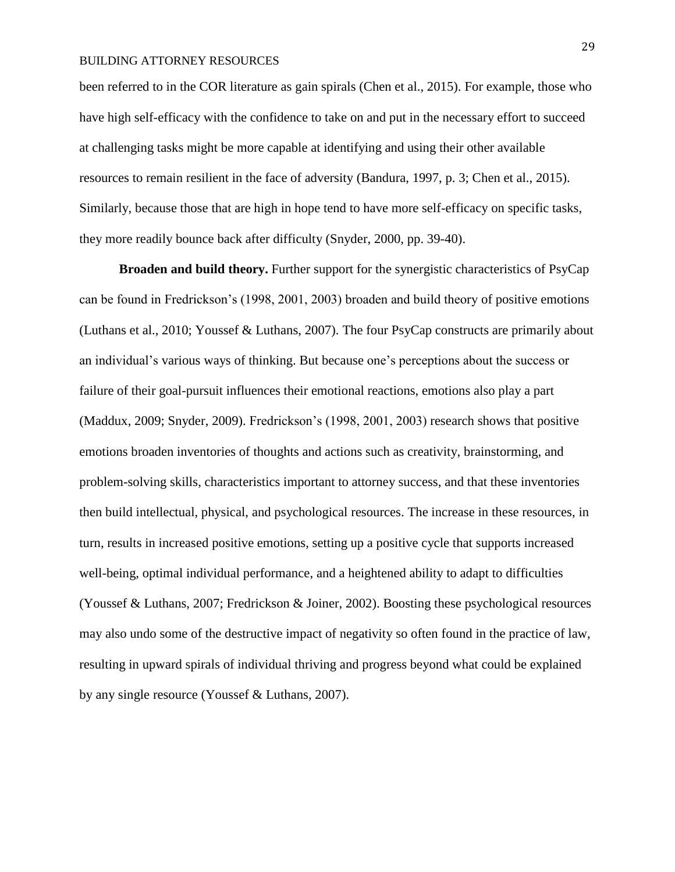been referred to in the COR literature as gain spirals (Chen et al., 2015). For example, those who have high self-efficacy with the confidence to take on and put in the necessary effort to succeed at challenging tasks might be more capable at identifying and using their other available resources to remain resilient in the face of adversity (Bandura, 1997, p. 3; Chen et al., 2015). Similarly, because those that are high in hope tend to have more self-efficacy on specific tasks, they more readily bounce back after difficulty (Snyder, 2000, pp. 39-40).

**Broaden and build theory.** Further support for the synergistic characteristics of PsyCap can be found in Fredrickson's (1998, 2001, 2003) broaden and build theory of positive emotions (Luthans et al., 2010; Youssef & Luthans, 2007). The four PsyCap constructs are primarily about an individual's various ways of thinking. But because one's perceptions about the success or failure of their goal-pursuit influences their emotional reactions, emotions also play a part (Maddux, 2009; Snyder, 2009). Fredrickson's (1998, 2001, 2003) research shows that positive emotions broaden inventories of thoughts and actions such as creativity, brainstorming, and problem-solving skills, characteristics important to attorney success, and that these inventories then build intellectual, physical, and psychological resources. The increase in these resources, in turn, results in increased positive emotions, setting up a positive cycle that supports increased well-being, optimal individual performance, and a heightened ability to adapt to difficulties (Youssef & Luthans, 2007; Fredrickson & Joiner, 2002). Boosting these psychological resources may also undo some of the destructive impact of negativity so often found in the practice of law, resulting in upward spirals of individual thriving and progress beyond what could be explained by any single resource (Youssef & Luthans, 2007).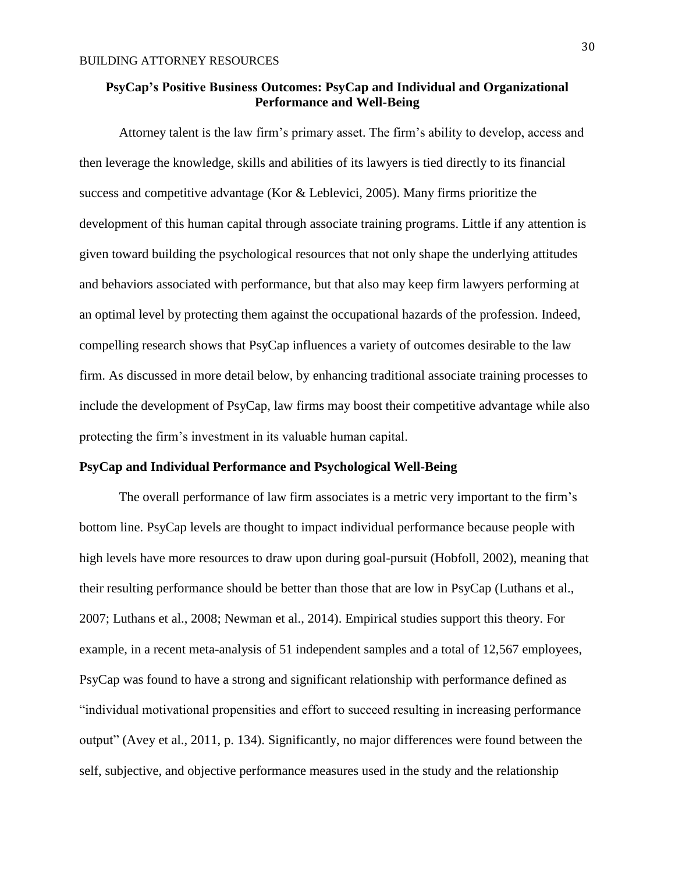## **PsyCap's Positive Business Outcomes: PsyCap and Individual and Organizational Performance and Well-Being**

Attorney talent is the law firm's primary asset. The firm's ability to develop, access and then leverage the knowledge, skills and abilities of its lawyers is tied directly to its financial success and competitive advantage (Kor & Leblevici, 2005). Many firms prioritize the development of this human capital through associate training programs. Little if any attention is given toward building the psychological resources that not only shape the underlying attitudes and behaviors associated with performance, but that also may keep firm lawyers performing at an optimal level by protecting them against the occupational hazards of the profession. Indeed, compelling research shows that PsyCap influences a variety of outcomes desirable to the law firm. As discussed in more detail below, by enhancing traditional associate training processes to include the development of PsyCap, law firms may boost their competitive advantage while also protecting the firm's investment in its valuable human capital.

## **PsyCap and Individual Performance and Psychological Well-Being**

The overall performance of law firm associates is a metric very important to the firm's bottom line. PsyCap levels are thought to impact individual performance because people with high levels have more resources to draw upon during goal-pursuit (Hobfoll, 2002), meaning that their resulting performance should be better than those that are low in PsyCap (Luthans et al., 2007; Luthans et al., 2008; Newman et al., 2014). Empirical studies support this theory. For example, in a recent meta-analysis of 51 independent samples and a total of 12,567 employees, PsyCap was found to have a strong and significant relationship with performance defined as "individual motivational propensities and effort to succeed resulting in increasing performance output" (Avey et al., 2011, p. 134). Significantly, no major differences were found between the self, subjective, and objective performance measures used in the study and the relationship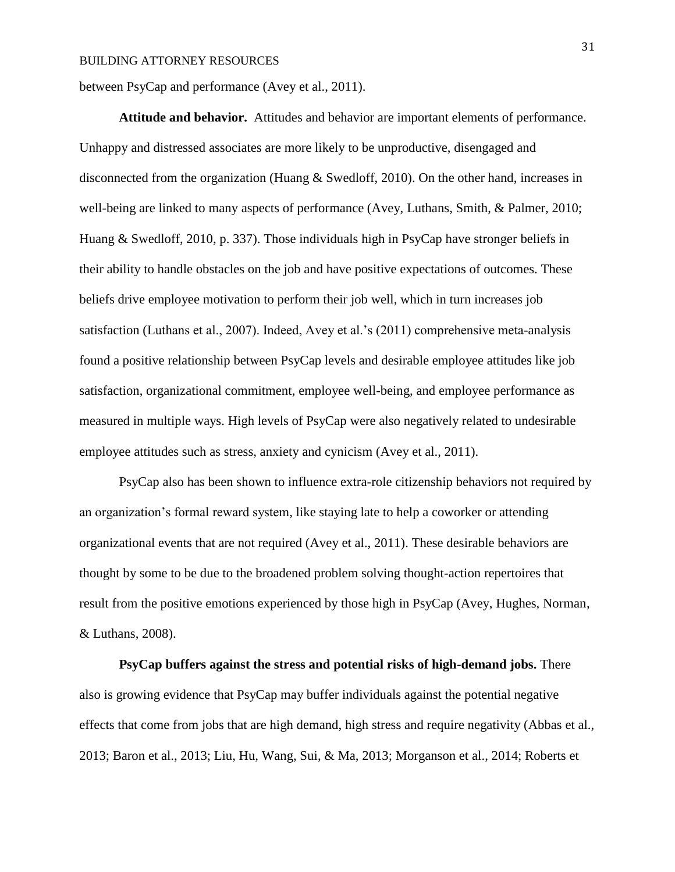between PsyCap and performance (Avey et al., 2011).

**Attitude and behavior.** Attitudes and behavior are important elements of performance. Unhappy and distressed associates are more likely to be unproductive, disengaged and disconnected from the organization (Huang & Swedloff, 2010). On the other hand, increases in well-being are linked to many aspects of performance (Avey, Luthans, Smith, & Palmer, 2010; Huang & Swedloff, 2010, p. 337). Those individuals high in PsyCap have stronger beliefs in their ability to handle obstacles on the job and have positive expectations of outcomes. These beliefs drive employee motivation to perform their job well, which in turn increases job satisfaction (Luthans et al., 2007). Indeed, Avey et al.'s (2011) comprehensive meta-analysis found a positive relationship between PsyCap levels and desirable employee attitudes like job satisfaction, organizational commitment, employee well-being, and employee performance as measured in multiple ways. High levels of PsyCap were also negatively related to undesirable employee attitudes such as stress, anxiety and cynicism (Avey et al., 2011).

PsyCap also has been shown to influence extra-role citizenship behaviors not required by an organization's formal reward system, like staying late to help a coworker or attending organizational events that are not required (Avey et al., 2011). These desirable behaviors are thought by some to be due to the broadened problem solving thought-action repertoires that result from the positive emotions experienced by those high in PsyCap (Avey, Hughes, Norman, & Luthans, 2008).

**PsyCap buffers against the stress and potential risks of high-demand jobs.** There also is growing evidence that PsyCap may buffer individuals against the potential negative effects that come from jobs that are high demand, high stress and require negativity (Abbas et al., 2013; Baron et al., 2013; Liu, Hu, Wang, Sui, & Ma, 2013; Morganson et al., 2014; Roberts et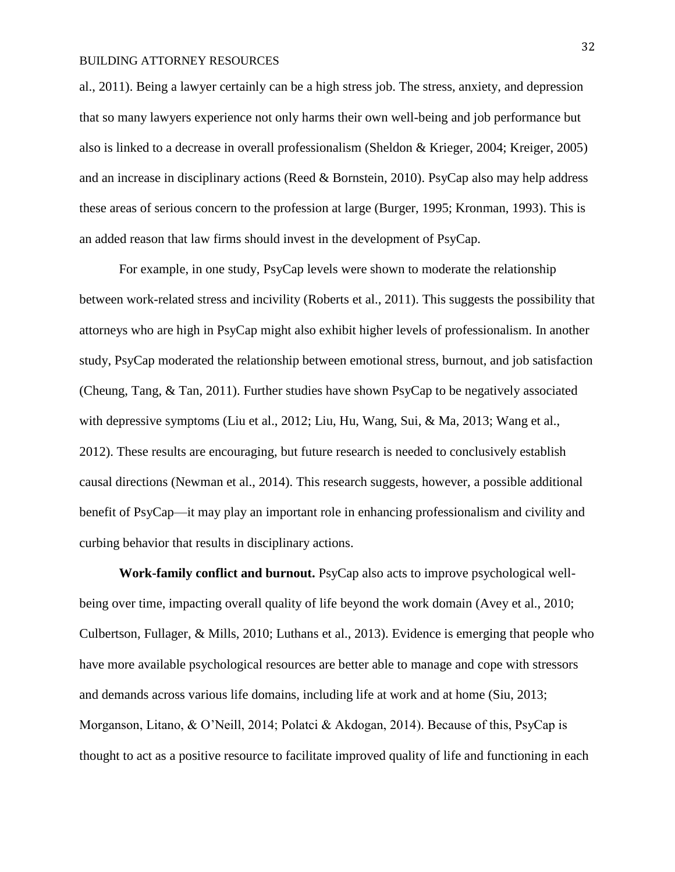al., 2011). Being a lawyer certainly can be a high stress job. The stress, anxiety, and depression that so many lawyers experience not only harms their own well-being and job performance but also is linked to a decrease in overall professionalism (Sheldon & Krieger, 2004; Kreiger, 2005) and an increase in disciplinary actions (Reed & Bornstein, 2010). PsyCap also may help address these areas of serious concern to the profession at large (Burger, 1995; Kronman, 1993). This is an added reason that law firms should invest in the development of PsyCap.

For example, in one study, PsyCap levels were shown to moderate the relationship between work-related stress and incivility (Roberts et al., 2011). This suggests the possibility that attorneys who are high in PsyCap might also exhibit higher levels of professionalism. In another study, PsyCap moderated the relationship between emotional stress, burnout, and job satisfaction (Cheung, Tang, & Tan, 2011). Further studies have shown PsyCap to be negatively associated with depressive symptoms (Liu et al., 2012; Liu, Hu, Wang, Sui, & Ma, 2013; Wang et al., 2012). These results are encouraging, but future research is needed to conclusively establish causal directions (Newman et al., 2014). This research suggests, however, a possible additional benefit of PsyCap—it may play an important role in enhancing professionalism and civility and curbing behavior that results in disciplinary actions.

**Work-family conflict and burnout.** PsyCap also acts to improve psychological wellbeing over time, impacting overall quality of life beyond the work domain (Avey et al., 2010; Culbertson, Fullager, & Mills, 2010; Luthans et al., 2013). Evidence is emerging that people who have more available psychological resources are better able to manage and cope with stressors and demands across various life domains, including life at work and at home (Siu, 2013; Morganson, Litano, & O'Neill, 2014; Polatci & Akdogan, 2014). Because of this, PsyCap is thought to act as a positive resource to facilitate improved quality of life and functioning in each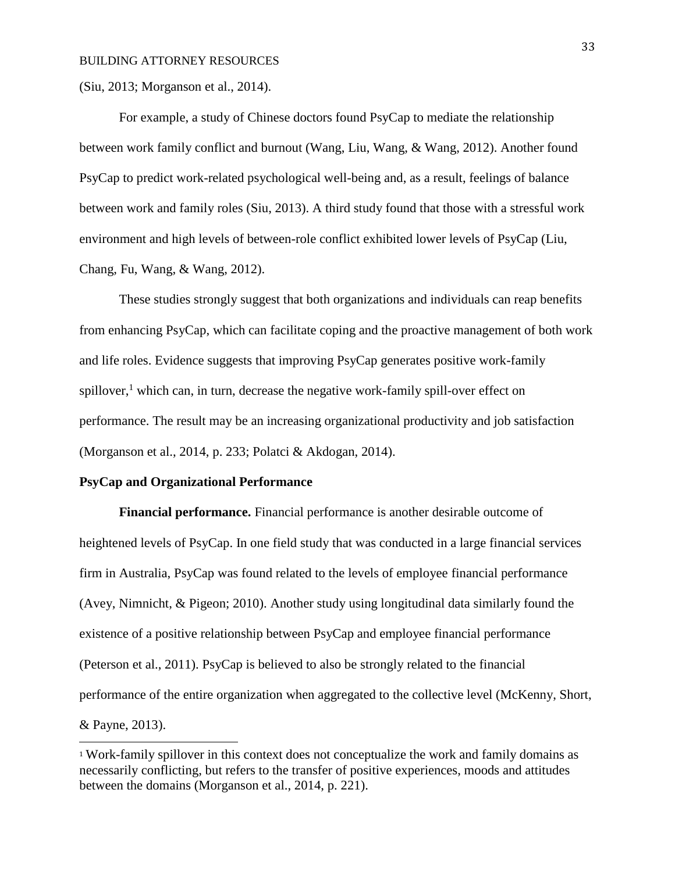(Siu, 2013; Morganson et al., 2014).

For example, a study of Chinese doctors found PsyCap to mediate the relationship between work family conflict and burnout (Wang, Liu, Wang, & Wang, 2012). Another found PsyCap to predict work-related psychological well-being and, as a result, feelings of balance between work and family roles (Siu, 2013). A third study found that those with a stressful work environment and high levels of between-role conflict exhibited lower levels of PsyCap (Liu, Chang, Fu, Wang, & Wang, 2012).

These studies strongly suggest that both organizations and individuals can reap benefits from enhancing PsyCap, which can facilitate coping and the proactive management of both work and life roles. Evidence suggests that improving PsyCap generates positive work-family spillover, $<sup>1</sup>$  which can, in turn, decrease the negative work-family spill-over effect on</sup> performance. The result may be an increasing organizational productivity and job satisfaction (Morganson et al., 2014, p. 233; Polatci & Akdogan, 2014).

#### **PsyCap and Organizational Performance**

l

**Financial performance.** Financial performance is another desirable outcome of heightened levels of PsyCap. In one field study that was conducted in a large financial services firm in Australia, PsyCap was found related to the levels of employee financial performance (Avey, Nimnicht, & Pigeon; 2010). Another study using longitudinal data similarly found the existence of a positive relationship between PsyCap and employee financial performance (Peterson et al., 2011). PsyCap is believed to also be strongly related to the financial performance of the entire organization when aggregated to the collective level (McKenny, Short, & Payne, 2013).

<sup>1</sup> Work-family spillover in this context does not conceptualize the work and family domains as necessarily conflicting, but refers to the transfer of positive experiences, moods and attitudes between the domains (Morganson et al., 2014, p. 221).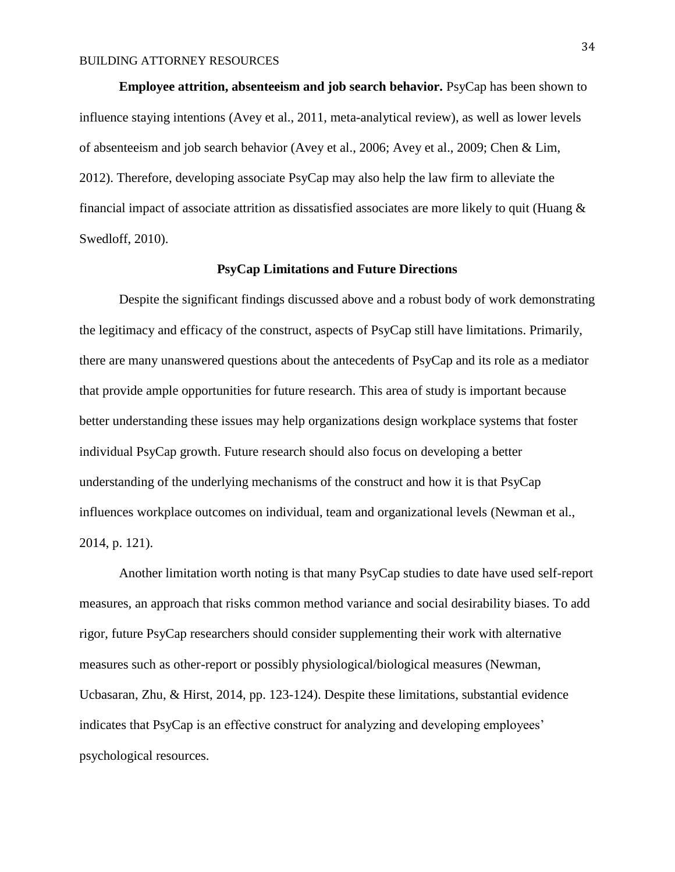**Employee attrition, absenteeism and job search behavior.** PsyCap has been shown to influence staying intentions (Avey et al., 2011, meta-analytical review), as well as lower levels of absenteeism and job search behavior (Avey et al., 2006; Avey et al., 2009; Chen & Lim, 2012). Therefore, developing associate PsyCap may also help the law firm to alleviate the financial impact of associate attrition as dissatisfied associates are more likely to quit (Huang & Swedloff, 2010).

#### **PsyCap Limitations and Future Directions**

Despite the significant findings discussed above and a robust body of work demonstrating the legitimacy and efficacy of the construct, aspects of PsyCap still have limitations. Primarily, there are many unanswered questions about the antecedents of PsyCap and its role as a mediator that provide ample opportunities for future research. This area of study is important because better understanding these issues may help organizations design workplace systems that foster individual PsyCap growth. Future research should also focus on developing a better understanding of the underlying mechanisms of the construct and how it is that PsyCap influences workplace outcomes on individual, team and organizational levels (Newman et al., 2014, p. 121).

Another limitation worth noting is that many PsyCap studies to date have used self-report measures, an approach that risks common method variance and social desirability biases. To add rigor, future PsyCap researchers should consider supplementing their work with alternative measures such as other-report or possibly physiological/biological measures (Newman, Ucbasaran, Zhu, & Hirst, 2014, pp. 123-124). Despite these limitations, substantial evidence indicates that PsyCap is an effective construct for analyzing and developing employees' psychological resources.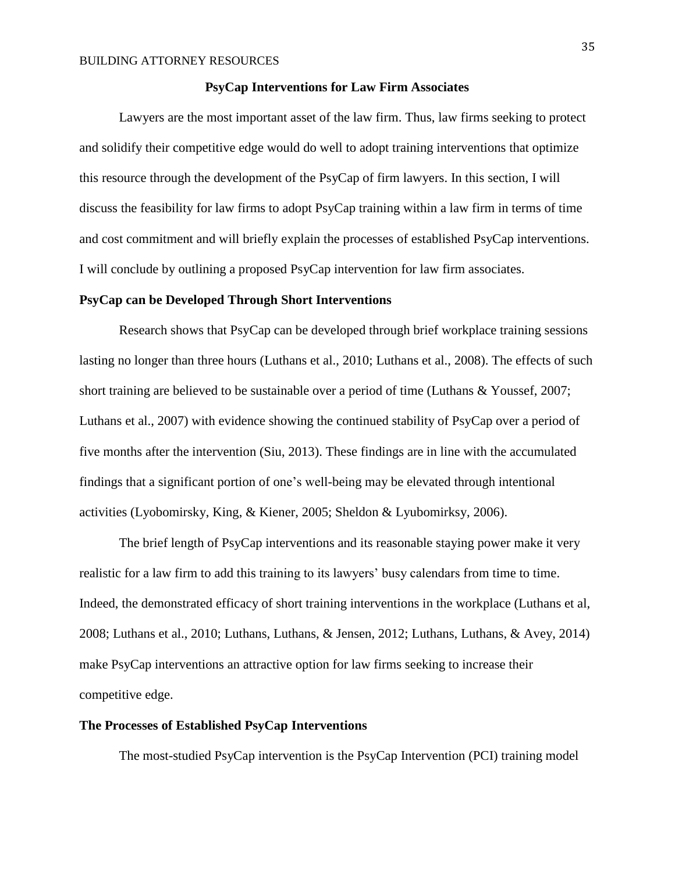#### **PsyCap Interventions for Law Firm Associates**

Lawyers are the most important asset of the law firm. Thus, law firms seeking to protect and solidify their competitive edge would do well to adopt training interventions that optimize this resource through the development of the PsyCap of firm lawyers. In this section, I will discuss the feasibility for law firms to adopt PsyCap training within a law firm in terms of time and cost commitment and will briefly explain the processes of established PsyCap interventions. I will conclude by outlining a proposed PsyCap intervention for law firm associates.

#### **PsyCap can be Developed Through Short Interventions**

Research shows that PsyCap can be developed through brief workplace training sessions lasting no longer than three hours (Luthans et al., 2010; Luthans et al., 2008). The effects of such short training are believed to be sustainable over a period of time (Luthans & Youssef, 2007; Luthans et al., 2007) with evidence showing the continued stability of PsyCap over a period of five months after the intervention (Siu, 2013). These findings are in line with the accumulated findings that a significant portion of one's well-being may be elevated through intentional activities (Lyobomirsky, King, & Kiener, 2005; Sheldon & Lyubomirksy, 2006).

The brief length of PsyCap interventions and its reasonable staying power make it very realistic for a law firm to add this training to its lawyers' busy calendars from time to time. Indeed, the demonstrated efficacy of short training interventions in the workplace (Luthans et al, 2008; Luthans et al., 2010; Luthans, Luthans, & Jensen, 2012; Luthans, Luthans, & Avey, 2014) make PsyCap interventions an attractive option for law firms seeking to increase their competitive edge.

#### **The Processes of Established PsyCap Interventions**

The most-studied PsyCap intervention is the PsyCap Intervention (PCI) training model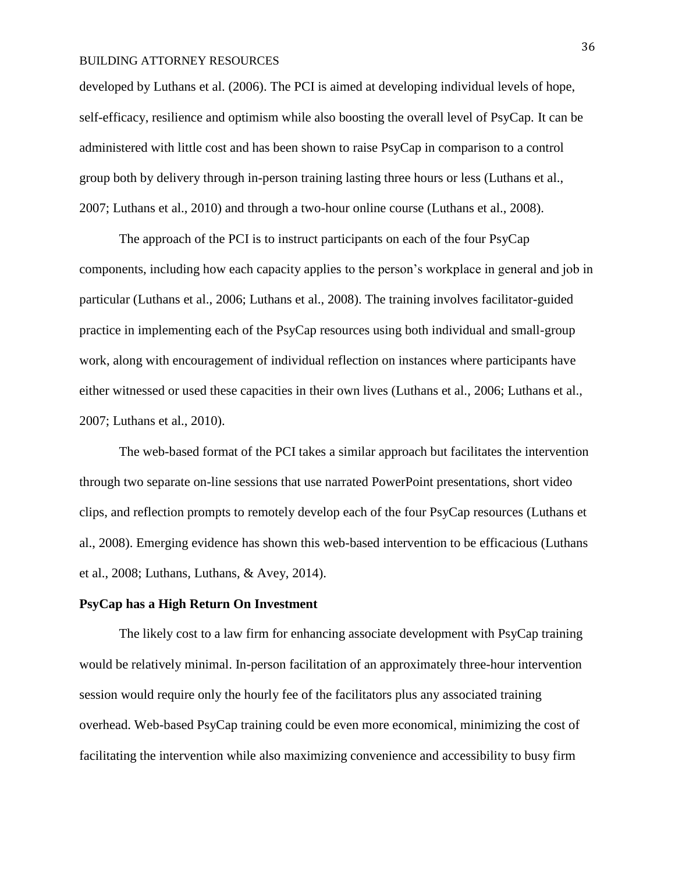developed by Luthans et al. (2006). The PCI is aimed at developing individual levels of hope, self-efficacy, resilience and optimism while also boosting the overall level of PsyCap. It can be administered with little cost and has been shown to raise PsyCap in comparison to a control group both by delivery through in-person training lasting three hours or less (Luthans et al., 2007; Luthans et al., 2010) and through a two-hour online course (Luthans et al., 2008).

The approach of the PCI is to instruct participants on each of the four PsyCap components, including how each capacity applies to the person's workplace in general and job in particular (Luthans et al., 2006; Luthans et al., 2008). The training involves facilitator-guided practice in implementing each of the PsyCap resources using both individual and small-group work, along with encouragement of individual reflection on instances where participants have either witnessed or used these capacities in their own lives (Luthans et al., 2006; Luthans et al., 2007; Luthans et al., 2010).

The web-based format of the PCI takes a similar approach but facilitates the intervention through two separate on-line sessions that use narrated PowerPoint presentations, short video clips, and reflection prompts to remotely develop each of the four PsyCap resources (Luthans et al., 2008). Emerging evidence has shown this web-based intervention to be efficacious (Luthans et al., 2008; Luthans, Luthans, & Avey, 2014).

#### **PsyCap has a High Return On Investment**

The likely cost to a law firm for enhancing associate development with PsyCap training would be relatively minimal. In-person facilitation of an approximately three-hour intervention session would require only the hourly fee of the facilitators plus any associated training overhead. Web-based PsyCap training could be even more economical, minimizing the cost of facilitating the intervention while also maximizing convenience and accessibility to busy firm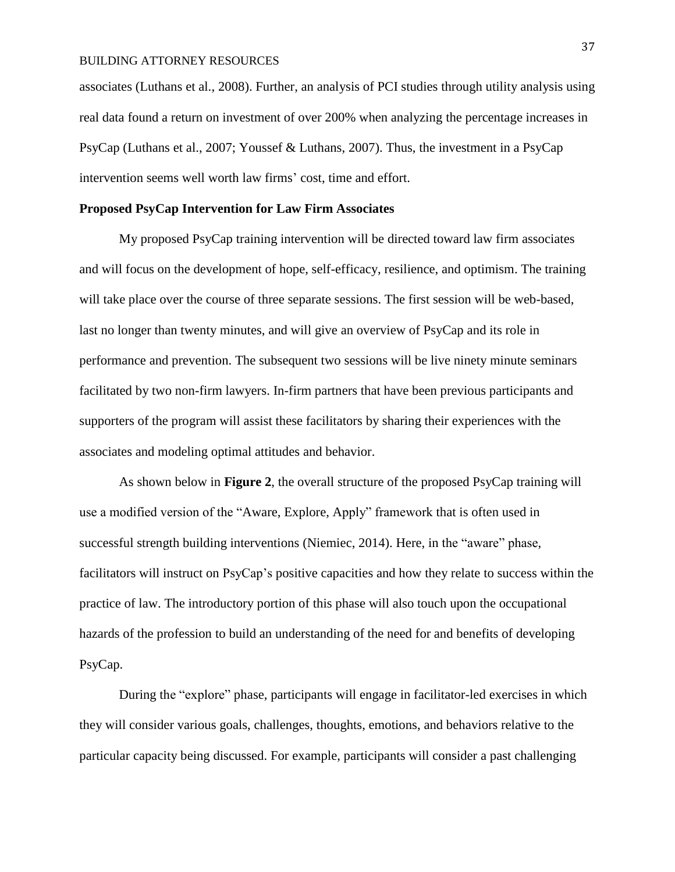associates (Luthans et al., 2008). Further, an analysis of PCI studies through utility analysis using real data found a return on investment of over 200% when analyzing the percentage increases in PsyCap (Luthans et al., 2007; Youssef & Luthans, 2007). Thus, the investment in a PsyCap intervention seems well worth law firms' cost, time and effort.

#### **Proposed PsyCap Intervention for Law Firm Associates**

My proposed PsyCap training intervention will be directed toward law firm associates and will focus on the development of hope, self-efficacy, resilience, and optimism. The training will take place over the course of three separate sessions. The first session will be web-based, last no longer than twenty minutes, and will give an overview of PsyCap and its role in performance and prevention. The subsequent two sessions will be live ninety minute seminars facilitated by two non-firm lawyers. In-firm partners that have been previous participants and supporters of the program will assist these facilitators by sharing their experiences with the associates and modeling optimal attitudes and behavior.

As shown below in **Figure 2**, the overall structure of the proposed PsyCap training will use a modified version of the "Aware, Explore, Apply" framework that is often used in successful strength building interventions (Niemiec, 2014). Here, in the "aware" phase, facilitators will instruct on PsyCap's positive capacities and how they relate to success within the practice of law. The introductory portion of this phase will also touch upon the occupational hazards of the profession to build an understanding of the need for and benefits of developing PsyCap.

During the "explore" phase, participants will engage in facilitator-led exercises in which they will consider various goals, challenges, thoughts, emotions, and behaviors relative to the particular capacity being discussed. For example, participants will consider a past challenging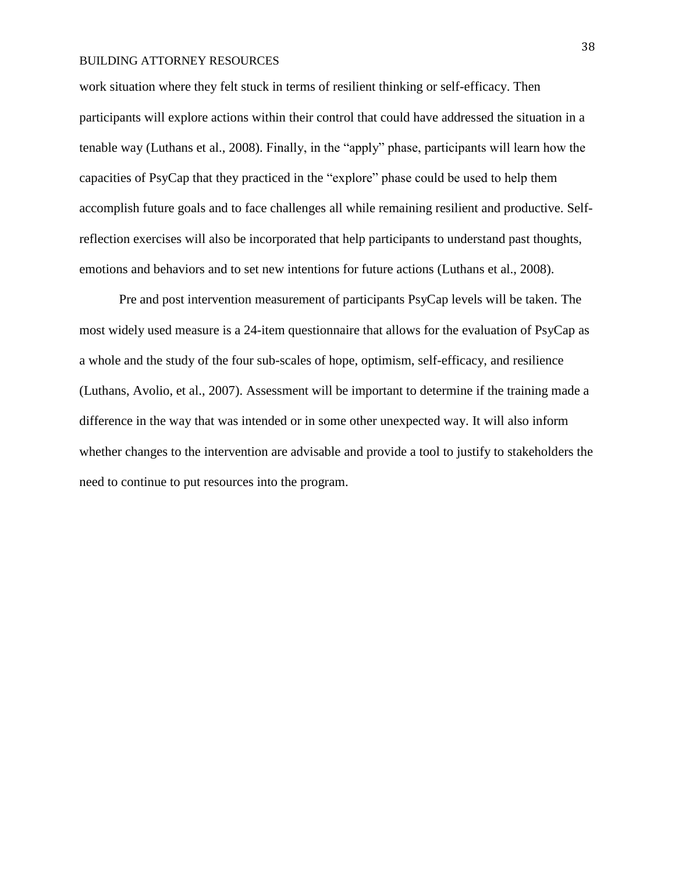work situation where they felt stuck in terms of resilient thinking or self-efficacy. Then participants will explore actions within their control that could have addressed the situation in a tenable way (Luthans et al., 2008). Finally, in the "apply" phase, participants will learn how the capacities of PsyCap that they practiced in the "explore" phase could be used to help them accomplish future goals and to face challenges all while remaining resilient and productive. Selfreflection exercises will also be incorporated that help participants to understand past thoughts, emotions and behaviors and to set new intentions for future actions (Luthans et al., 2008).

Pre and post intervention measurement of participants PsyCap levels will be taken. The most widely used measure is a 24-item questionnaire that allows for the evaluation of PsyCap as a whole and the study of the four sub-scales of hope, optimism, self-efficacy, and resilience (Luthans, Avolio, et al., 2007). Assessment will be important to determine if the training made a difference in the way that was intended or in some other unexpected way. It will also inform whether changes to the intervention are advisable and provide a tool to justify to stakeholders the need to continue to put resources into the program.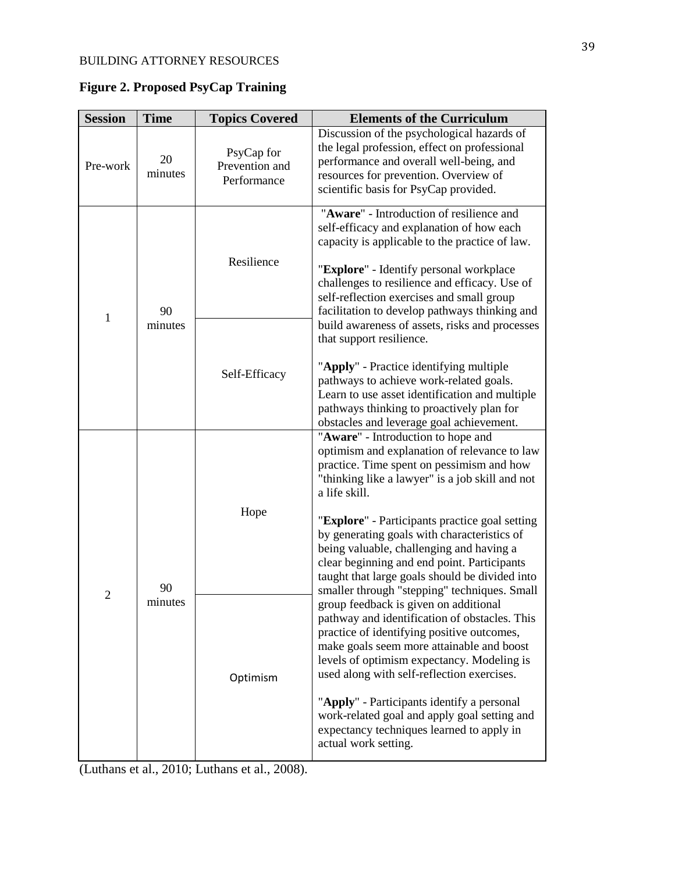| <b>Session</b> | <b>Time</b>   | <b>Topics Covered</b>                       | <b>Elements of the Curriculum</b>                                                                                                                                                                                                                                                                                                                                                                                                                                                                                                                                           |
|----------------|---------------|---------------------------------------------|-----------------------------------------------------------------------------------------------------------------------------------------------------------------------------------------------------------------------------------------------------------------------------------------------------------------------------------------------------------------------------------------------------------------------------------------------------------------------------------------------------------------------------------------------------------------------------|
| Pre-work       | 20<br>minutes | PsyCap for<br>Prevention and<br>Performance | Discussion of the psychological hazards of<br>the legal profession, effect on professional<br>performance and overall well-being, and<br>resources for prevention. Overview of<br>scientific basis for PsyCap provided.                                                                                                                                                                                                                                                                                                                                                     |
| $\mathbf{1}$   | 90<br>minutes | Resilience                                  | "Aware" - Introduction of resilience and<br>self-efficacy and explanation of how each<br>capacity is applicable to the practice of law.<br>"Explore" - Identify personal workplace<br>challenges to resilience and efficacy. Use of<br>self-reflection exercises and small group<br>facilitation to develop pathways thinking and<br>build awareness of assets, risks and processes                                                                                                                                                                                         |
|                |               | Self-Efficacy                               | that support resilience.<br>"Apply" - Practice identifying multiple<br>pathways to achieve work-related goals.<br>Learn to use asset identification and multiple<br>pathways thinking to proactively plan for<br>obstacles and leverage goal achievement.                                                                                                                                                                                                                                                                                                                   |
| $\overline{2}$ | 90<br>minutes | Hope                                        | "Aware" - Introduction to hope and<br>optimism and explanation of relevance to law<br>practice. Time spent on pessimism and how<br>"thinking like a lawyer" is a job skill and not<br>a life skill.                                                                                                                                                                                                                                                                                                                                                                         |
|                |               |                                             | "Explore" - Participants practice goal setting<br>by generating goals with characteristics of<br>being valuable, challenging and having a<br>clear beginning and end point. Participants<br>taught that large goals should be divided into<br>smaller through "stepping" techniques. Small<br>group feedback is given on additional<br>pathway and identification of obstacles. This<br>practice of identifying positive outcomes,<br>make goals seem more attainable and boost<br>levels of optimism expectancy. Modeling is<br>used along with self-reflection exercises. |
|                |               | Optimism                                    |                                                                                                                                                                                                                                                                                                                                                                                                                                                                                                                                                                             |
|                |               |                                             | "Apply" - Participants identify a personal<br>work-related goal and apply goal setting and<br>expectancy techniques learned to apply in<br>actual work setting.                                                                                                                                                                                                                                                                                                                                                                                                             |

**Figure 2. Proposed PsyCap Training**

(Luthans et al., 2010; Luthans et al., 2008).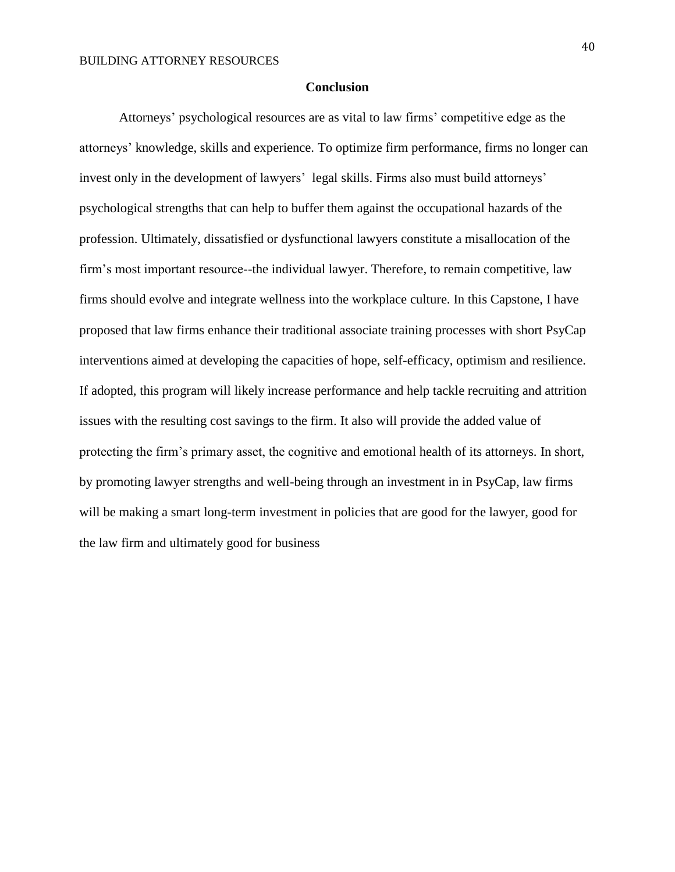#### **Conclusion**

Attorneys' psychological resources are as vital to law firms' competitive edge as the attorneys' knowledge, skills and experience. To optimize firm performance, firms no longer can invest only in the development of lawyers' legal skills. Firms also must build attorneys' psychological strengths that can help to buffer them against the occupational hazards of the profession. Ultimately, dissatisfied or dysfunctional lawyers constitute a misallocation of the firm's most important resource--the individual lawyer. Therefore, to remain competitive, law firms should evolve and integrate wellness into the workplace culture. In this Capstone, I have proposed that law firms enhance their traditional associate training processes with short PsyCap interventions aimed at developing the capacities of hope, self-efficacy, optimism and resilience. If adopted, this program will likely increase performance and help tackle recruiting and attrition issues with the resulting cost savings to the firm. It also will provide the added value of protecting the firm's primary asset, the cognitive and emotional health of its attorneys. In short, by promoting lawyer strengths and well-being through an investment in in PsyCap, law firms will be making a smart long-term investment in policies that are good for the lawyer, good for the law firm and ultimately good for business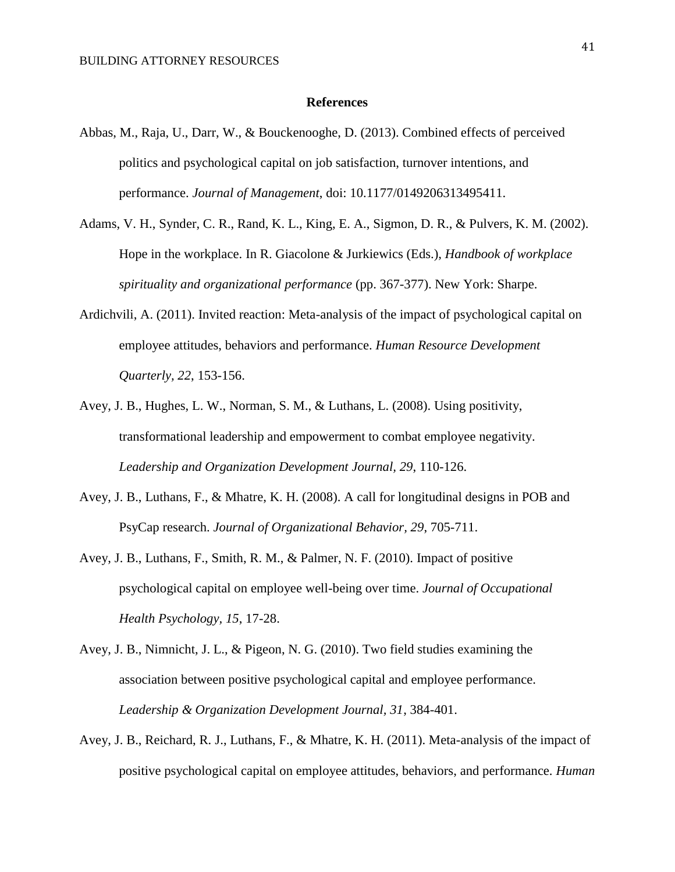#### **References**

- Abbas, M., Raja, U., Darr, W., & Bouckenooghe, D. (2013). Combined effects of perceived politics and psychological capital on job satisfaction, turnover intentions, and performance. *Journal of Management*, doi: 10.1177/0149206313495411.
- Adams, V. H., Synder, C. R., Rand, K. L., King, E. A., Sigmon, D. R., & Pulvers, K. M. (2002). Hope in the workplace. In R. Giacolone & Jurkiewics (Eds.), *Handbook of workplace spirituality and organizational performance* (pp. 367-377). New York: Sharpe.
- Ardichvili, A. (2011). Invited reaction: Meta-analysis of the impact of psychological capital on employee attitudes, behaviors and performance. *Human Resource Development Quarterly, 22*, 153-156.
- Avey, J. B., Hughes, L. W., Norman, S. M., & Luthans, L. (2008). Using positivity, transformational leadership and empowerment to combat employee negativity. *Leadership and Organization Development Journal, 29*, 110-126.
- Avey, J. B., Luthans, F., & Mhatre, K. H. (2008). A call for longitudinal designs in POB and PsyCap research. *Journal of Organizational Behavior, 29*, 705-711.
- Avey, J. B., Luthans, F., Smith, R. M., & Palmer, N. F. (2010). Impact of positive psychological capital on employee well-being over time. *Journal of Occupational Health Psychology, 15*, 17-28.
- Avey, J. B., Nimnicht, J. L., & Pigeon, N. G. (2010). Two field studies examining the association between positive psychological capital and employee performance. *Leadership & Organization Development Journal, 31*, 384-401.
- Avey, J. B., Reichard, R. J., Luthans, F., & Mhatre, K. H. (2011). Meta-analysis of the impact of positive psychological capital on employee attitudes, behaviors, and performance. *Human*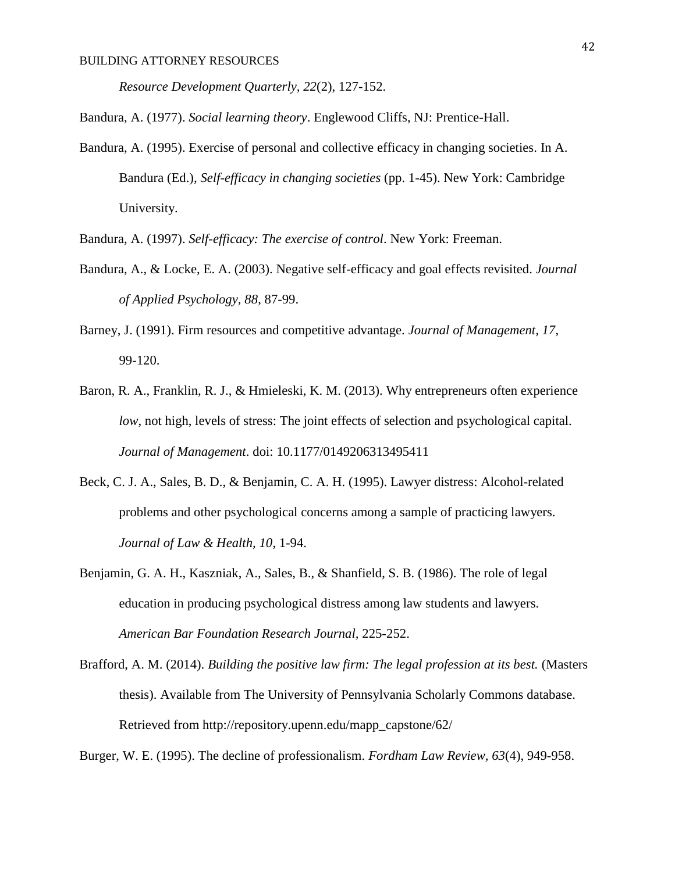*Resource Development Quarterly, 22*(2), 127-152.

Bandura, A. (1977). *Social learning theory*. Englewood Cliffs, NJ: Prentice-Hall.

Bandura, A. (1995). Exercise of personal and collective efficacy in changing societies. In A. Bandura (Ed.), *Self-efficacy in changing societies* (pp. 1-45). New York: Cambridge University.

Bandura, A. (1997). *Self-efficacy: The exercise of control*. New York: Freeman.

- Bandura, A., & Locke, E. A. (2003). Negative self-efficacy and goal effects revisited. *Journal of Applied Psychology, 88*, 87-99.
- Barney, J. (1991). Firm resources and competitive advantage. *Journal of Management, 17*, 99-120.
- Baron, R. A., Franklin, R. J., & Hmieleski, K. M. (2013). Why entrepreneurs often experience *low*, not high, levels of stress: The joint effects of selection and psychological capital. *Journal of Management*. doi: 10.1177/0149206313495411
- Beck, C. J. A., Sales, B. D., & Benjamin, C. A. H. (1995). Lawyer distress: Alcohol-related problems and other psychological concerns among a sample of practicing lawyers. *Journal of Law & Health, 10*, 1-94.
- Benjamin, G. A. H., Kaszniak, A., Sales, B., & Shanfield, S. B. (1986). The role of legal education in producing psychological distress among law students and lawyers. *American Bar Foundation Research Journal,* 225-252.
- Brafford, A. M. (2014). *Building the positive law firm: The legal profession at its best.* (Masters thesis). Available from The University of Pennsylvania Scholarly Commons database. Retrieved from http://repository.upenn.edu/mapp\_capstone/62/

Burger, W. E. (1995). The decline of professionalism. *Fordham Law Review, 63*(4), 949-958.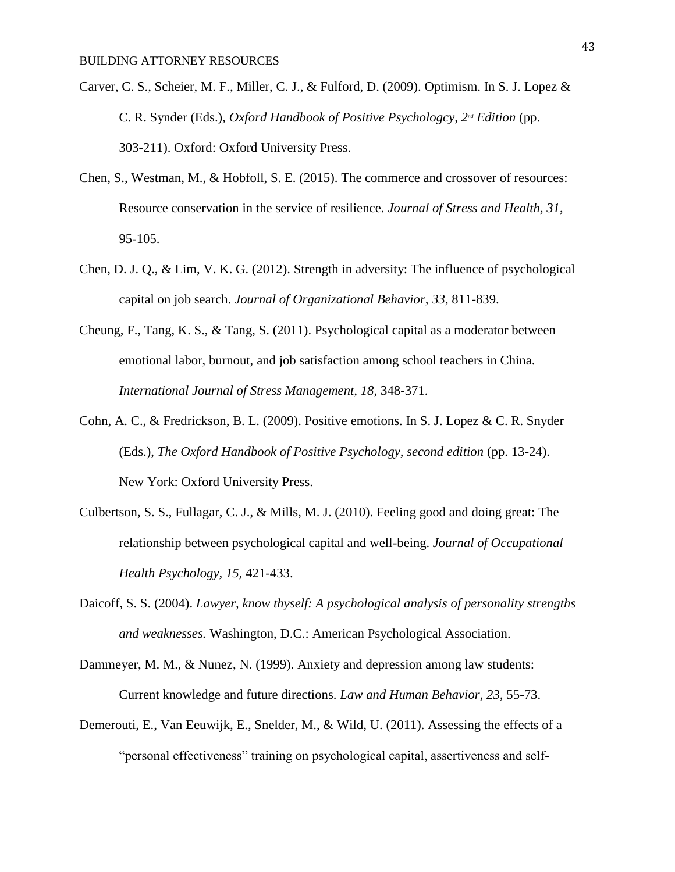- Carver, C. S., Scheier, M. F., Miller, C. J., & Fulford, D. (2009). Optimism. In S. J. Lopez & C. R. Synder (Eds.), *Oxford Handbook of Positive Psychologcy, 2nd Edition* (pp. 303-211). Oxford: Oxford University Press.
- Chen, S., Westman, M., & Hobfoll, S. E. (2015). The commerce and crossover of resources: Resource conservation in the service of resilience. *Journal of Stress and Health, 31*, 95-105.
- Chen, D. J. Q., & Lim, V. K. G. (2012). Strength in adversity: The influence of psychological capital on job search. *Journal of Organizational Behavior, 33,* 811-839.
- Cheung, F., Tang, K. S., & Tang, S. (2011). Psychological capital as a moderator between emotional labor, burnout, and job satisfaction among school teachers in China. *International Journal of Stress Management, 18*, 348-371.
- Cohn, A. C., & Fredrickson, B. L. (2009). Positive emotions. In S. J. Lopez & C. R. Snyder (Eds.), *The Oxford Handbook of Positive Psychology, second edition* (pp. 13-24). New York: Oxford University Press.
- Culbertson, S. S., Fullagar, C. J., & Mills, M. J. (2010). Feeling good and doing great: The relationship between psychological capital and well-being. *Journal of Occupational Health Psychology, 15,* 421-433.
- Daicoff, S. S. (2004). *Lawyer, know thyself: A psychological analysis of personality strengths and weaknesses.* Washington, D.C.: American Psychological Association.
- Dammeyer, M. M., & Nunez, N. (1999). Anxiety and depression among law students: Current knowledge and future directions. *Law and Human Behavior, 23,* 55-73.
- Demerouti, E., Van Eeuwijk, E., Snelder, M., & Wild, U. (2011). Assessing the effects of a "personal effectiveness" training on psychological capital, assertiveness and self-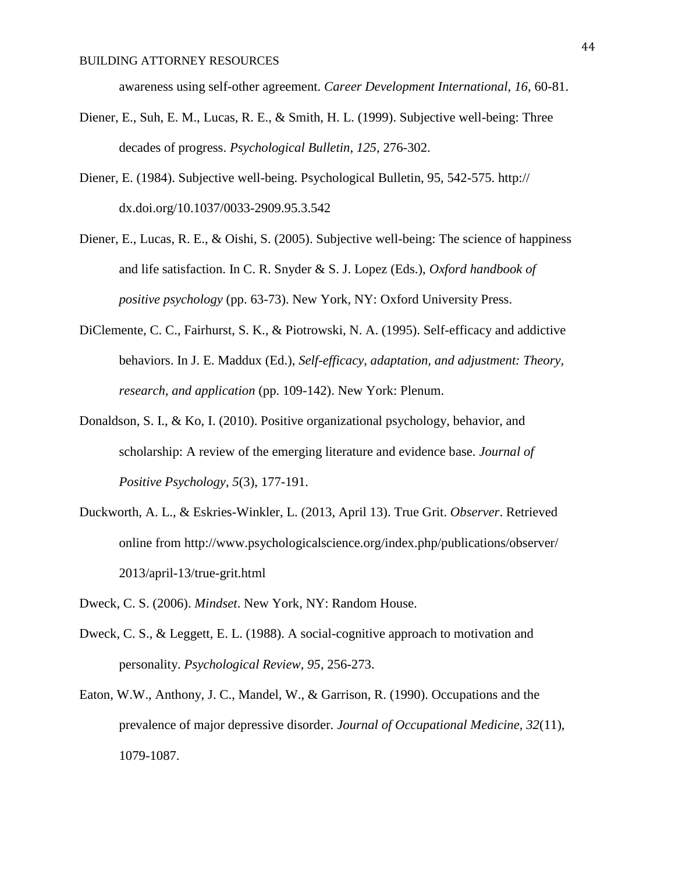awareness using self-other agreement. *Career Development International, 16*, 60-81.

- Diener, E., Suh, E. M., Lucas, R. E., & Smith, H. L. (1999). Subjective well-being: Three decades of progress. *Psychological Bulletin, 125*, 276-302.
- Diener, E. (1984). Subjective well-being. Psychological Bulletin, 95, 542-575. http:// dx.doi.org/10.1037/0033-2909.95.3.542
- Diener, E., Lucas, R. E., & Oishi, S. (2005). Subjective well-being: The science of happiness and life satisfaction. In C. R. Snyder & S. J. Lopez (Eds.), *Oxford handbook of positive psychology* (pp. 63-73). New York, NY: Oxford University Press.
- DiClemente, C. C., Fairhurst, S. K., & Piotrowski, N. A. (1995). Self-efficacy and addictive behaviors. In J. E. Maddux (Ed.), *Self-efficacy, adaptation, and adjustment: Theory, research, and application* (pp. 109-142). New York: Plenum.
- Donaldson, S. I., & Ko, I. (2010). Positive organizational psychology, behavior, and scholarship: A review of the emerging literature and evidence base. *Journal of Positive Psychology, 5*(3), 177-191.
- Duckworth, A. L., & Eskries-Winkler, L. (2013, April 13). True Grit. *Observer*. Retrieved online from<http://www.psychologicalscience.org/index.php/publications/observer/> 2013/april-13/true-grit.html
- Dweck, C. S. (2006). *Mindset*. New York, NY: Random House.
- Dweck, C. S., & Leggett, E. L. (1988). A social-cognitive approach to motivation and personality. *Psychological Review, 95*, 256-273.
- Eaton, W.W., Anthony, J. C., Mandel, W., & Garrison, R. (1990). Occupations and the prevalence of major depressive disorder. *Journal of Occupational Medicine, 32*(11), 1079-1087.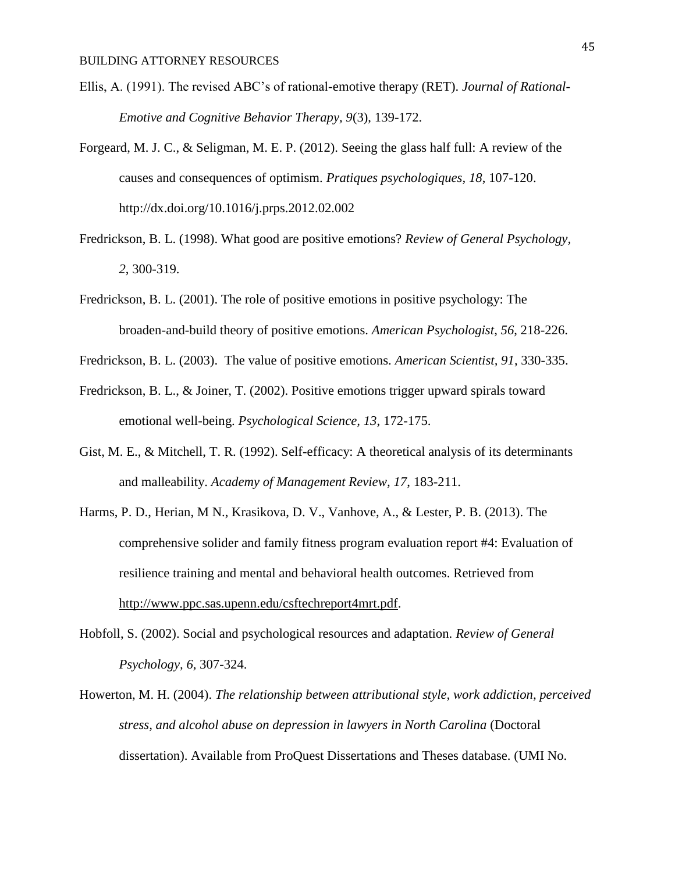- Ellis, A. (1991). The revised ABC's of rational-emotive therapy (RET). *Journal of Rational-Emotive and Cognitive Behavior Therapy, 9*(3), 139-172.
- Forgeard, M. J. C., & Seligman, M. E. P. (2012). Seeing the glass half full: A review of the causes and consequences of optimism. *Pratiques psychologiques, 18*, 107-120. http://dx.doi.org/10.1016/j.prps.2012.02.002
- Fredrickson, B. L. (1998). What good are positive emotions? *Review of General Psychology, 2*, 300-319.
- Fredrickson, B. L. (2001). The role of positive emotions in positive psychology: The broaden-and-build theory of positive emotions. *American Psychologist*, *56*, 218-226.
- Fredrickson, B. L. (2003). The value of positive emotions. *American Scientist, 91*, 330-335.
- Fredrickson, B. L., & Joiner, T. (2002). Positive emotions trigger upward spirals toward emotional well-being. *Psychological Science, 13*, 172-175.
- Gist, M. E., & Mitchell, T. R. (1992). Self-efficacy: A theoretical analysis of its determinants and malleability. *Academy of Management Review, 17*, 183-211.
- Harms, P. D., Herian, M N., Krasikova, D. V., Vanhove, A., & Lester, P. B. (2013). The comprehensive solider and family fitness program evaluation report #4: Evaluation of resilience training and mental and behavioral health outcomes. Retrieved from [http://www.ppc.sas.upenn.edu/csftechreport4mrt.pdf.](http://www.ppc.sas.upenn.edu/csftechreport4mrt.pdf)
- Hobfoll, S. (2002). Social and psychological resources and adaptation. *Review of General Psychology, 6*, 307-324.
- Howerton, M. H. (2004). *The relationship between attributional style, work addiction, perceived stress, and alcohol abuse on depression in lawyers in North Carolina* (Doctoral dissertation). Available from ProQuest Dissertations and Theses database. (UMI No.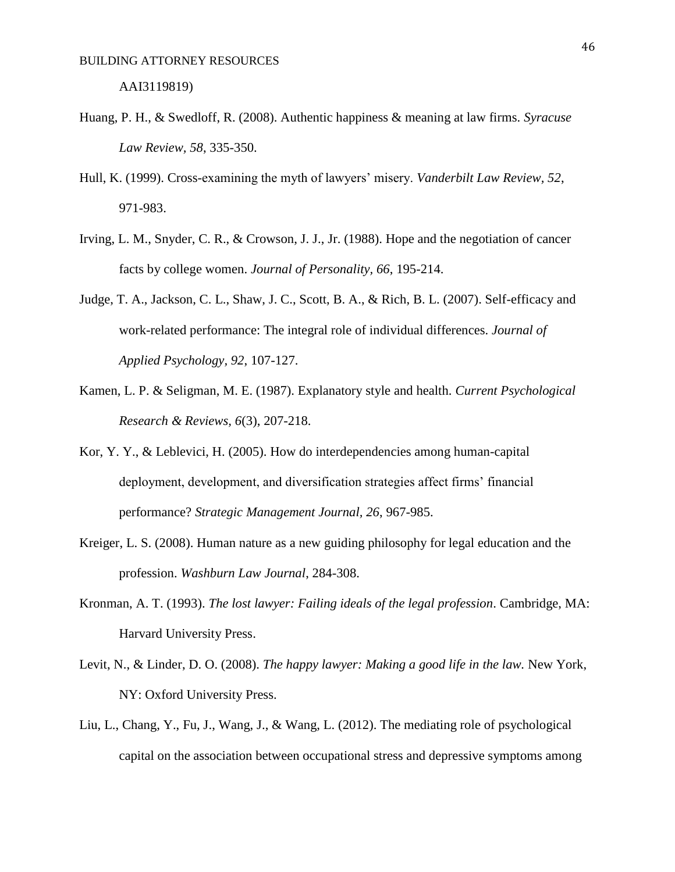- Huang, P. H., & Swedloff, R. (2008). Authentic happiness & meaning at law firms. *Syracuse Law Review, 58*, 335-350.
- Hull, K. (1999). Cross-examining the myth of lawyers' misery. *Vanderbilt Law Review, 52*, 971-983.
- Irving, L. M., Snyder, C. R., & Crowson, J. J., Jr. (1988). Hope and the negotiation of cancer facts by college women. *Journal of Personality, 66*, 195-214.
- Judge, T. A., Jackson, C. L., Shaw, J. C., Scott, B. A., & Rich, B. L. (2007). Self-efficacy and work-related performance: The integral role of individual differences. *Journal of Applied Psychology, 92*, 107-127.
- Kamen, L. P. & Seligman, M. E. (1987). Explanatory style and health. *Current Psychological Research & Reviews, 6*(3), 207-218.
- Kor, Y. Y., & Leblevici, H. (2005). How do interdependencies among human-capital deployment, development, and diversification strategies affect firms' financial performance? *Strategic Management Journal, 26*, 967-985.
- Kreiger, L. S. (2008). Human nature as a new guiding philosophy for legal education and the profession. *Washburn Law Journal*, 284-308.
- Kronman, A. T. (1993). *The lost lawyer: Failing ideals of the legal profession*. Cambridge, MA: Harvard University Press.
- Levit, N., & Linder, D. O. (2008). *The happy lawyer: Making a good life in the law.* New York, NY: Oxford University Press.
- Liu, L., Chang, Y., Fu, J., Wang, J., & Wang, L. (2012). The mediating role of psychological capital on the association between occupational stress and depressive symptoms among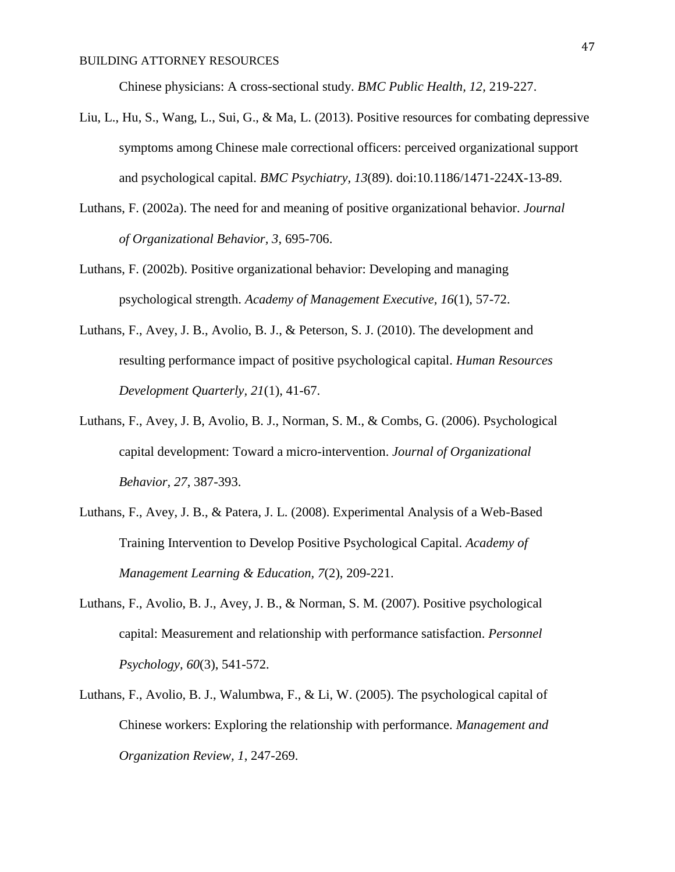Chinese physicians: A cross-sectional study. *BMC Public Health, 12,* 219-227.

- Liu, L., Hu, S., Wang, L., Sui, G., & Ma, L. (2013). Positive resources for combating depressive symptoms among Chinese male correctional officers: perceived organizational support and psychological capital. *BMC Psychiatry, 13*(89). doi:10.1186/1471-224X-13-89.
- Luthans, F. (2002a). The need for and meaning of positive organizational behavior. *Journal of Organizational Behavior, 3*, 695-706.
- Luthans, F. (2002b). Positive organizational behavior: Developing and managing psychological strength. *Academy of Management Executive, 16*(1), 57-72.
- Luthans, F., Avey, J. B., Avolio, B. J., & Peterson, S. J. (2010). The development and resulting performance impact of positive psychological capital. *Human Resources Development Quarterly, 21*(1), 41-67.
- Luthans, F., Avey, J. B, Avolio, B. J., Norman, S. M., & Combs, G. (2006). Psychological capital development: Toward a micro-intervention. *Journal of Organizational Behavior, 27*, 387-393.
- Luthans, F., Avey, J. B., & Patera, J. L. (2008). Experimental Analysis of a Web-Based Training Intervention to Develop Positive Psychological Capital. *Academy of Management Learning & Education, 7*(2), 209-221.
- Luthans, F., Avolio, B. J., Avey, J. B., & Norman, S. M. (2007). Positive psychological capital: Measurement and relationship with performance satisfaction. *Personnel Psychology, 60*(3), 541-572.
- Luthans, F., Avolio, B. J., Walumbwa, F., & Li, W. (2005). The psychological capital of Chinese workers: Exploring the relationship with performance. *Management and Organization Review, 1*, 247-269.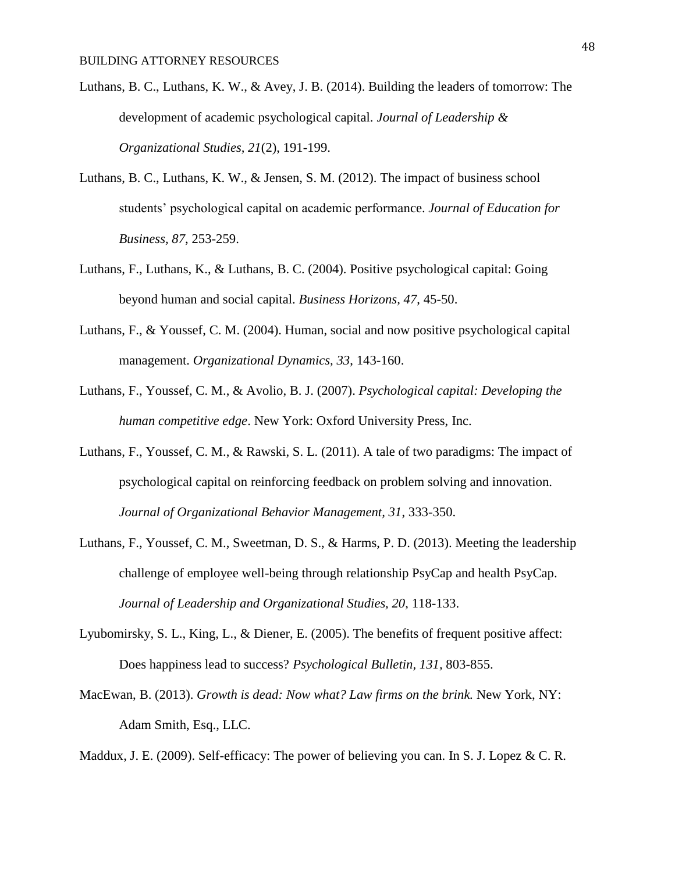- Luthans, B. C., Luthans, K. W., & Avey, J. B. (2014). Building the leaders of tomorrow: The development of academic psychological capital. *Journal of Leadership & Organizational Studies, 21*(2), 191-199.
- Luthans, B. C., Luthans, K. W., & Jensen, S. M. (2012). The impact of business school students' psychological capital on academic performance. *Journal of Education for Business, 87*, 253-259.
- Luthans, F., Luthans, K., & Luthans, B. C. (2004). Positive psychological capital: Going beyond human and social capital. *Business Horizons, 47*, 45-50.
- Luthans, F., & Youssef, C. M. (2004). Human, social and now positive psychological capital management. *Organizational Dynamics, 33*, 143-160.
- Luthans, F., Youssef, C. M., & Avolio, B. J. (2007). *Psychological capital: Developing the human competitive edge*. New York: Oxford University Press, Inc.
- Luthans, F., Youssef, C. M., & Rawski, S. L. (2011). A tale of two paradigms: The impact of psychological capital on reinforcing feedback on problem solving and innovation. *Journal of Organizational Behavior Management, 31*, 333-350.
- Luthans, F., Youssef, C. M., Sweetman, D. S., & Harms, P. D. (2013). Meeting the leadership challenge of employee well-being through relationship PsyCap and health PsyCap. *Journal of Leadership and Organizational Studies, 20*, 118-133.
- Lyubomirsky, S. L., King, L., & Diener, E. (2005). The benefits of frequent positive affect: Does happiness lead to success? *Psychological Bulletin, 131,* 803-855.
- MacEwan, B. (2013). *Growth is dead: Now what? Law firms on the brink.* New York, NY: Adam Smith, Esq., LLC.
- Maddux, J. E. (2009). Self-efficacy: The power of believing you can. In S. J. Lopez & C. R.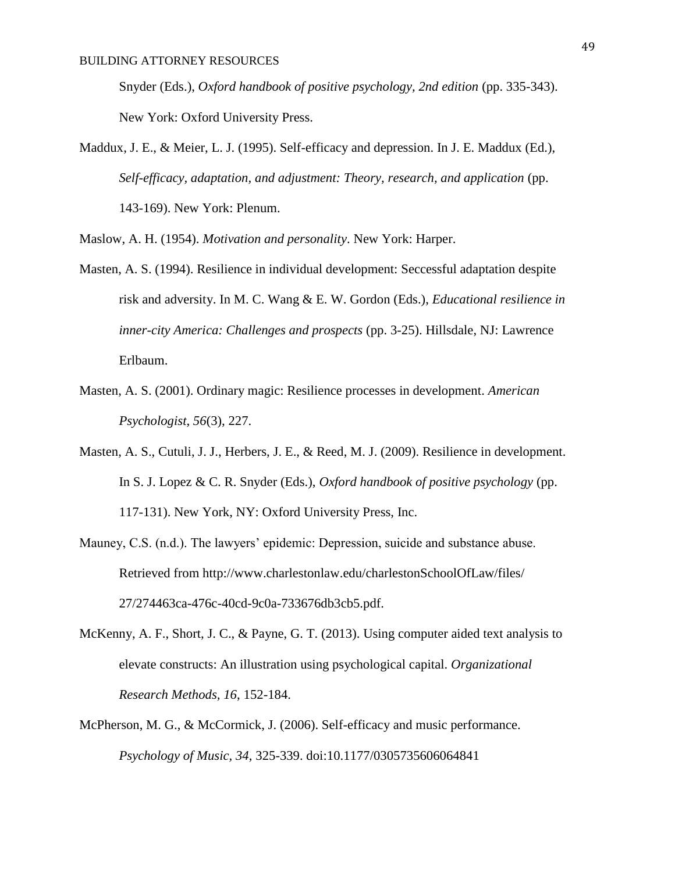Snyder (Eds.), *Oxford handbook of positive psychology, 2nd edition* (pp. 335-343). New York: Oxford University Press.

Maddux, J. E., & Meier, L. J. (1995). Self-efficacy and depression. In J. E. Maddux (Ed.), *Self-efficacy, adaptation, and adjustment: Theory, research, and application* (pp. 143-169). New York: Plenum.

Maslow, A. H. (1954). *Motivation and personality*. New York: Harper.

- Masten, A. S. (1994). Resilience in individual development: Seccessful adaptation despite risk and adversity. In M. C. Wang & E. W. Gordon (Eds.), *Educational resilience in inner-city America: Challenges and prospects* (pp. 3-25). Hillsdale, NJ: Lawrence Erlbaum.
- Masten, A. S. (2001). Ordinary magic: Resilience processes in development. *American Psychologist, 56*(3), 227.
- Masten, A. S., Cutuli, J. J., Herbers, J. E., & Reed, M. J. (2009). Resilience in development. In S. J. Lopez & C. R. Snyder (Eds.), *Oxford handbook of positive psychology* (pp. 117-131). New York, NY: Oxford University Press, Inc.
- Mauney, C.S. (n.d.). The lawyers' epidemic: Depression, suicide and substance abuse. Retrieved from<http://www.charlestonlaw.edu/charlestonSchoolOfLaw/files/> 27/274463ca-476c-40cd-9c0a-733676db3cb5.pdf.
- McKenny, A. F., Short, J. C., & Payne, G. T. (2013). Using computer aided text analysis to elevate constructs: An illustration using psychological capital. *Organizational Research Methods, 16*, 152-184.
- McPherson, M. G., & McCormick, J. (2006). Self-efficacy and music performance. *Psychology of Music, 34*, 325-339. doi:10.1177/0305735606064841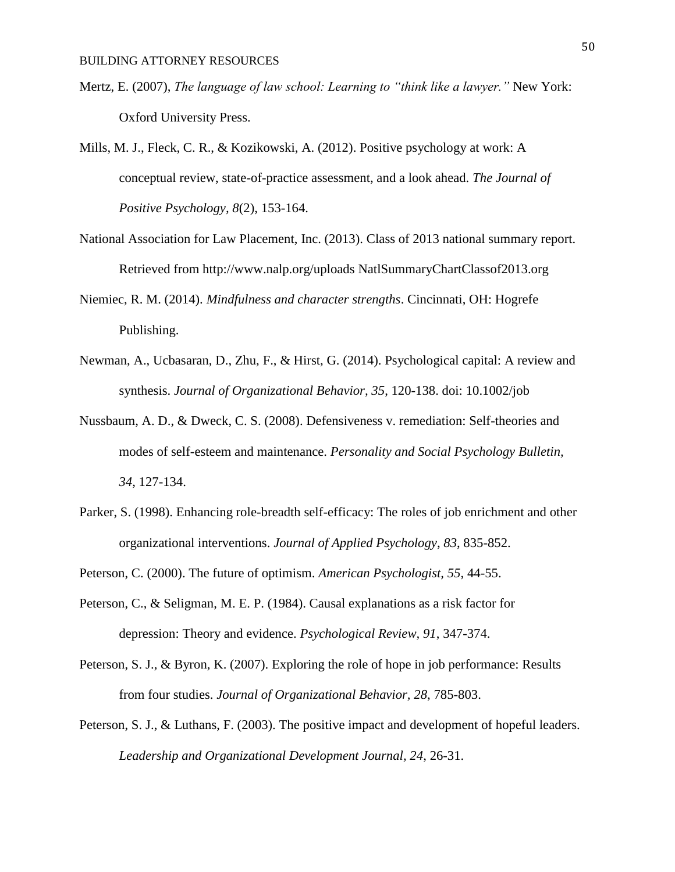- Mertz, E. (2007), *The language of law school: Learning to "think like a lawyer."* New York: Oxford University Press.
- Mills, M. J., Fleck, C. R., & Kozikowski, A. (2012). Positive psychology at work: A conceptual review, state-of-practice assessment, and a look ahead. *The Journal of Positive Psychology, 8*(2), 153-164.
- National Association for Law Placement, Inc. (2013). Class of 2013 national summary report. Retrieved from<http://www.nalp.org/uploads> NatlSummaryChartClassof2013.org
- Niemiec, R. M. (2014). *Mindfulness and character strengths*. Cincinnati, OH: Hogrefe Publishing.
- Newman, A., Ucbasaran, D., Zhu, F., & Hirst, G. (2014). Psychological capital: A review and synthesis. *Journal of Organizational Behavior, 35*, 120-138. doi: 10.1002/job
- Nussbaum, A. D., & Dweck, C. S. (2008). Defensiveness v. remediation: Self-theories and modes of self-esteem and maintenance. *Personality and Social Psychology Bulletin, 34*, 127-134.
- Parker, S. (1998). Enhancing role-breadth self-efficacy: The roles of job enrichment and other organizational interventions. *Journal of Applied Psychology*, *83*, 835-852.
- Peterson, C. (2000). The future of optimism. *American Psychologist, 55*, 44-55.
- Peterson, C., & Seligman, M. E. P. (1984). Causal explanations as a risk factor for depression: Theory and evidence. *Psychological Review, 91*, 347-374.
- Peterson, S. J., & Byron, K. (2007). Exploring the role of hope in job performance: Results from four studies. *Journal of Organizational Behavior, 28*, 785-803.
- Peterson, S. J., & Luthans, F. (2003). The positive impact and development of hopeful leaders. *Leadership and Organizational Development Journal, 24*, 26-31.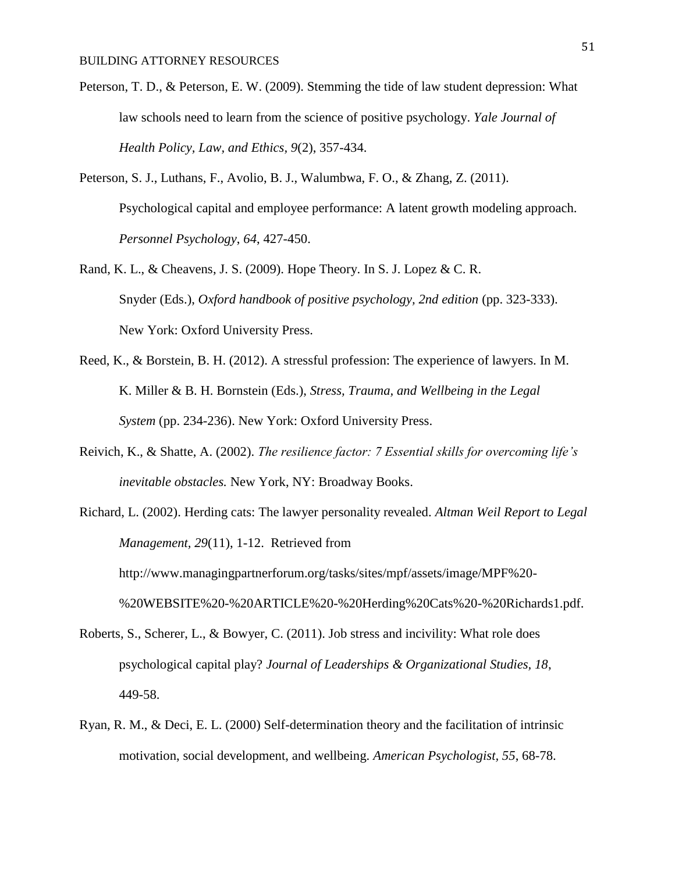- Peterson, T. D., & Peterson, E. W. (2009). Stemming the tide of law student depression: What law schools need to learn from the science of positive psychology. *Yale Journal of Health Policy, Law, and Ethics, 9*(2), 357-434.
- Peterson, S. J., Luthans, F., Avolio, B. J., Walumbwa, F. O., & Zhang, Z. (2011). Psychological capital and employee performance: A latent growth modeling approach. *Personnel Psychology*, *64*, 427-450.
- Rand, K. L., & Cheavens, J. S. (2009). Hope Theory. In S. J. Lopez & C. R. Snyder (Eds.), *Oxford handbook of positive psychology, 2nd edition* (pp. 323-333). New York: Oxford University Press.
- Reed, K., & Borstein, B. H. (2012). A stressful profession: The experience of lawyers. In M. K. Miller & B. H. Bornstein (Eds.), *Stress, Trauma, and Wellbeing in the Legal System* (pp. 234-236). New York: Oxford University Press.
- Reivich, K., & Shatte, A. (2002). *The resilience factor: 7 Essential skills for overcoming life's inevitable obstacles.* New York, NY: Broadway Books.
- Richard, L. (2002). Herding cats: The lawyer personality revealed. *Altman Weil Report to Legal Management, 29*(11), 1-12. Retrieved from [http://www.managingpartnerforum.org/tasks/sites/mpf/assets/image/MPF%20-](http://www.managingpartnerforum.org/tasks/sites/mpf/assets/image/MPF%20-%20WEBSITE%20-%20ARTICLE%20-%20Herding%20Cats%20-%20Richards1.pdf) [%20WEBSITE%20-%20ARTICLE%20-%20Herding%20Cats%20-%20Richards1.pdf.](http://www.managingpartnerforum.org/tasks/sites/mpf/assets/image/MPF%20-%20WEBSITE%20-%20ARTICLE%20-%20Herding%20Cats%20-%20Richards1.pdf)
- Roberts, S., Scherer, L., & Bowyer, C. (2011). Job stress and incivility: What role does psychological capital play? *Journal of Leaderships & Organizational Studies, 18*, 449-58.
- Ryan, R. M., & Deci, E. L. (2000) Self-determination theory and the facilitation of intrinsic motivation, social development, and wellbeing. *American Psychologist, 55*, 68-78.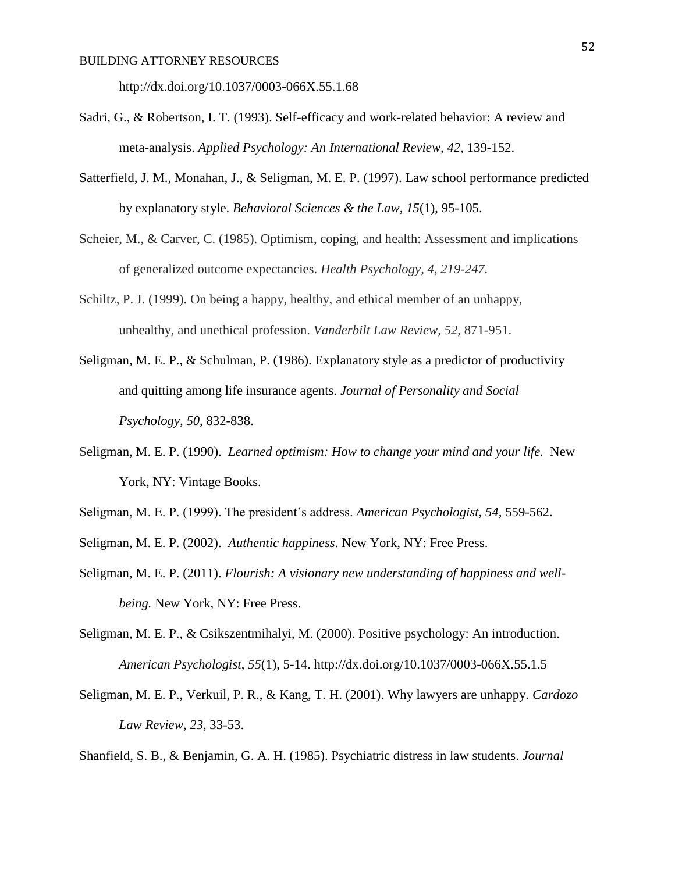http://dx.doi.org/10.1037/0003-066X.55.1.68

- Sadri, G., & Robertson, I. T. (1993). Self-efficacy and work-related behavior: A review and meta-analysis. *Applied Psychology: An International Review, 42*, 139-152.
- Satterfield, J. M., Monahan, J., & Seligman, M. E. P. (1997). Law school performance predicted by explanatory style. *Behavioral Sciences & the Law, 15*(1), 95-105.
- Scheier, M., & Carver, C. (1985). Optimism, coping, and health: Assessment and implications of generalized outcome expectancies. *Health Psychology, 4, 219-247.*
- Schiltz, P. J. (1999). On being a happy, healthy, and ethical member of an unhappy, unhealthy, and unethical profession. *Vanderbilt Law Review, 52,* 871-951.
- Seligman, M. E. P., & Schulman, P. (1986). Explanatory style as a predictor of productivity and quitting among life insurance agents. *Journal of Personality and Social Psychology, 50*, 832-838.
- Seligman, M. E. P. (1990). *Learned optimism: How to change your mind and your life.* New York, NY: Vintage Books.
- Seligman, M. E. P. (1999). The president's address. *American Psychologist, 54,* 559-562.
- Seligman, M. E. P. (2002). *Authentic happiness*. New York, NY: Free Press.
- Seligman, M. E. P. (2011). *Flourish: A visionary new understanding of happiness and wellbeing.* New York, NY: Free Press.
- Seligman, M. E. P., & Csikszentmihalyi, M. (2000). Positive psychology: An introduction. *American Psychologist*, *55*(1), 5-14. http://dx.doi.org/10.1037/0003-066X.55.1.5
- Seligman, M. E. P., Verkuil, P. R., & Kang, T. H. (2001). Why lawyers are unhappy. *Cardozo Law Review*, *23*, 33-53.

Shanfield, S. B., & Benjamin, G. A. H. (1985). Psychiatric distress in law students. *Journal*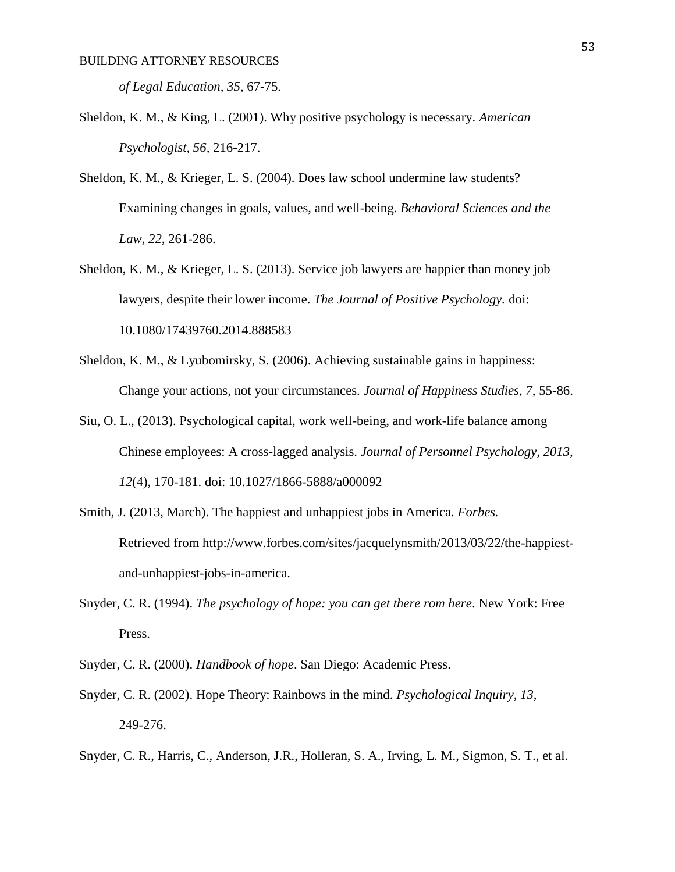*of Legal Education, 35*, 67-75.

- Sheldon, K. M., & King, L. (2001). Why positive psychology is necessary. *American Psychologist, 56,* 216-217.
- Sheldon, K. M., & Krieger, L. S. (2004). Does law school undermine law students? Examining changes in goals, values, and well-being. *Behavioral Sciences and the Law, 22,* 261-286.
- Sheldon, K. M., & Krieger, L. S. (2013). Service job lawyers are happier than money job lawyers, despite their lower income. *The Journal of Positive Psychology.* doi: 10.1080/17439760.2014.888583
- Sheldon, K. M., & Lyubomirsky, S. (2006). Achieving sustainable gains in happiness: Change your actions, not your circumstances. *Journal of Happiness Studies, 7*, 55-86.
- Siu, O. L., (2013). Psychological capital, work well-being, and work-life balance among Chinese employees: A cross-lagged analysis. *Journal of Personnel Psychology, 2013, 12*(4), 170-181. doi: 10.1027/1866-5888/a000092
- Smith, J. (2013, March). The happiest and unhappiest jobs in America. *Forbes.* Retrieved from [http://www.forbes.com/sites/jacquelynsmith/2013/03/22/the-happiest](http://www.forbes.com/sites/jacquelynsmith/2013/03/22/the-happiest-)and-unhappiest-jobs-in-america.
- Snyder, C. R. (1994). *The psychology of hope: you can get there rom here*. New York: Free Press.
- Snyder, C. R. (2000). *Handbook of hope*. San Diego: Academic Press.
- Snyder, C. R. (2002). Hope Theory: Rainbows in the mind. *Psychological Inquiry, 13,* 249-276.
- Snyder, C. R., Harris, C., Anderson, J.R., Holleran, S. A., Irving, L. M., Sigmon, S. T., et al.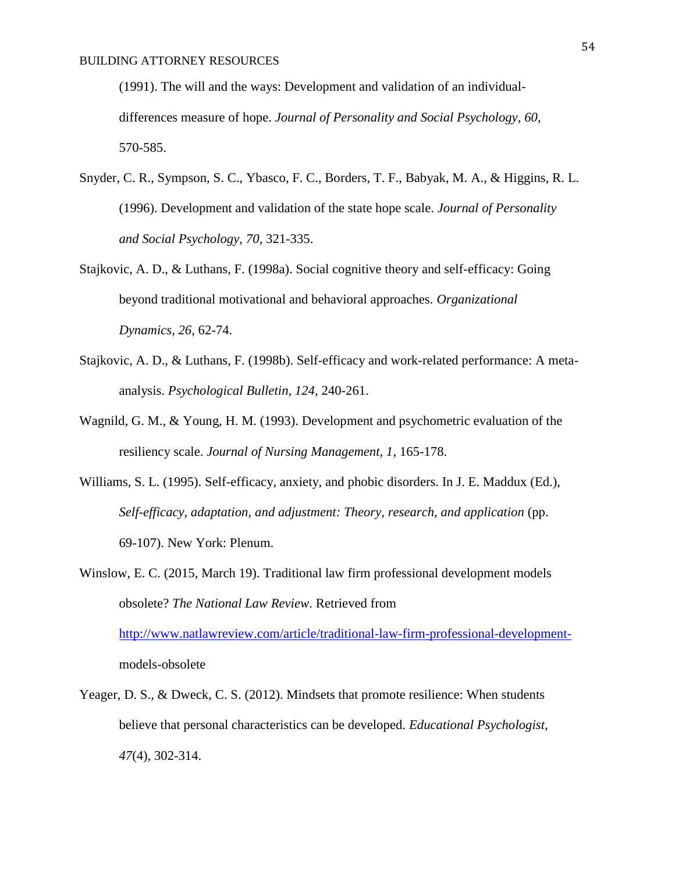(1991). The will and the ways: Development and validation of an individualdifferences measure of hope. *Journal of Personality and Social Psychology, 60,*  570-585.

- Snyder, C. R., Sympson, S. C., Ybasco, F. C., Borders, T. F., Babyak, M. A., & Higgins, R. L. (1996). Development and validation of the state hope scale. *Journal of Personality and Social Psychology, 70*, 321-335.
- Stajkovic, A. D., & Luthans, F. (1998a). Social cognitive theory and self-efficacy: Going beyond traditional motivational and behavioral approaches. *Organizational Dynamics*, *26*, 62-74.
- Stajkovic, A. D., & Luthans, F. (1998b). Self-efficacy and work-related performance: A metaanalysis. *Psychological Bulletin, 124*, 240-261.
- Wagnild, G. M., & Young, H. M. (1993). Development and psychometric evaluation of the resiliency scale. *Journal of Nursing Management, 1*, 165-178.
- Williams, S. L. (1995). Self-efficacy, anxiety, and phobic disorders. In J. E. Maddux (Ed.), *Self-efficacy, adaptation, and adjustment: Theory, research, and application* (pp. 69-107). New York: Plenum.
- Winslow, E. C. (2015, March 19). Traditional law firm professional development models obsolete? *The National Law Review*. Retrieved from

[http://www.natlawreview.com/article/traditional-law-firm-professional-development](http://www.natlawreview.com/article/traditional-law-firm-professional-development-)models-obsolete

Yeager, D. S., & Dweck, C. S. (2012). Mindsets that promote resilience: When students believe that personal characteristics can be developed. *Educational Psychologist*, *47*(4), 302-314.